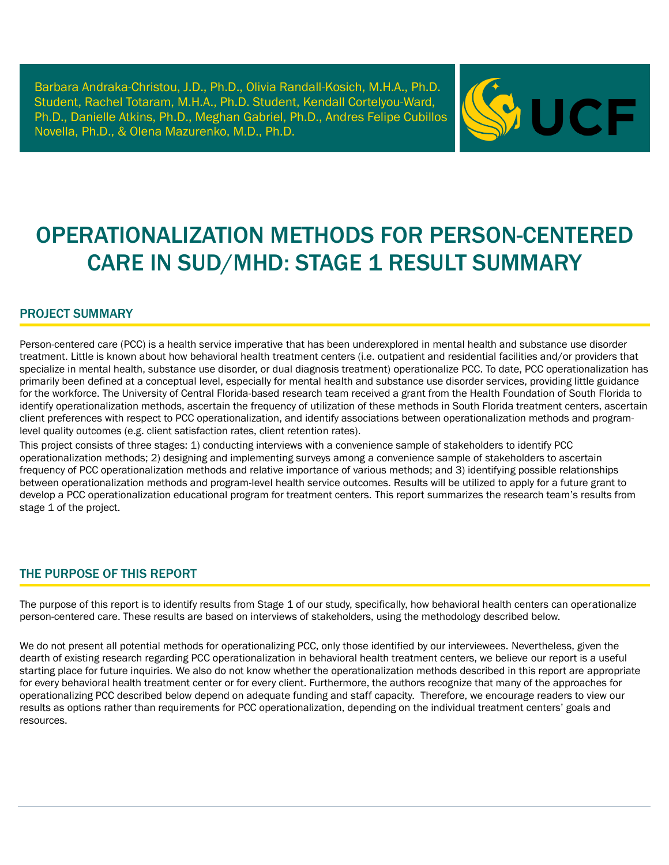Barbara Andraka-Christou, J.D., Ph.D., Olivia Randall-Kosich, M.H.A., Ph.D. Student, Rachel Totaram, M.H.A., Ph.D. Student, Kendall Cortelyou-Ward, Ph.D., Danielle Atkins, Ph.D., Meghan Gabriel, Ph.D., Andres Felipe Cubillos Novella, Ph.D., & Olena Mazurenko, M.D., Ph.D.



# OPERATIONALIZATION METHODS FOR PERSON-CENTERED **CARE IN SUD/MHD: STAGE 1 RESULT SUMMARY**

#### PROJECT SUMMARY

Person-centered care (PCC) is a health service imperative that has been underexplored in mental health and substance use disorder treatment. Little is known about how behavioral health treatment centers (i.e. outpatient and residential facilities and/or providers that specialize in mental health, substance use disorder, or dual diagnosis treatment) operationalize PCC. To date, PCC operationalization has primarily been defined at a conceptual level, especially for mental health and substance use disorder services, providing little guidance for the workforce. The University of Central Florida-based research team received a grant from the Health Foundation of South Florida to identify operationalization methods, ascertain the frequency of utilization of these methods in South Florida treatment centers, ascertain client preferences with respect to PCC operationalization, and identify associations between operationalization methods and programlevel quality outcomes (e.g. client satisfaction rates, client retention rates).

This project consists of three stages: 1) conducting interviews with a convenience sample of stakeholders to identify PCC operationalization methods; 2) designing and implementing surveys among a convenience sample of stakeholders to ascertain frequency of PCC operationalization methods and relative importance of various methods; and 3) identifying possible relationships between operationalization methods and program-level health service outcomes. Results will be utilized to apply for a future grant to develop a PCC operationalization educational program for treatment centers. This report summarizes the research team's results from stage 1 of the project.

#### THE PURPOSE OF THIS REPORT

The purpose of this report is to identify results from Stage 1 of our study, specifically, how behavioral health centers can operationalize person-centered care. These results are based on interviews of stakeholders, using the methodology described below.

We do not present all potential methods for operationalizing PCC, only those identified by our interviewees. Nevertheless, given the dearth of existing research regarding PCC operationalization in behavioral health treatment centers, we believe our report is a useful starting place for future inquiries. We also do not know whether the operationalization methods described in this report are appropriate for every behavioral health treatment center or for every client. Furthermore, the authors recognize that many of the approaches for operationalizing PCC described below depend on adequate funding and staff capacity. Therefore, we encourage readers to view our results as options rather than requirements for PCC operationalization, depending on the individual treatment centers' goals and resources.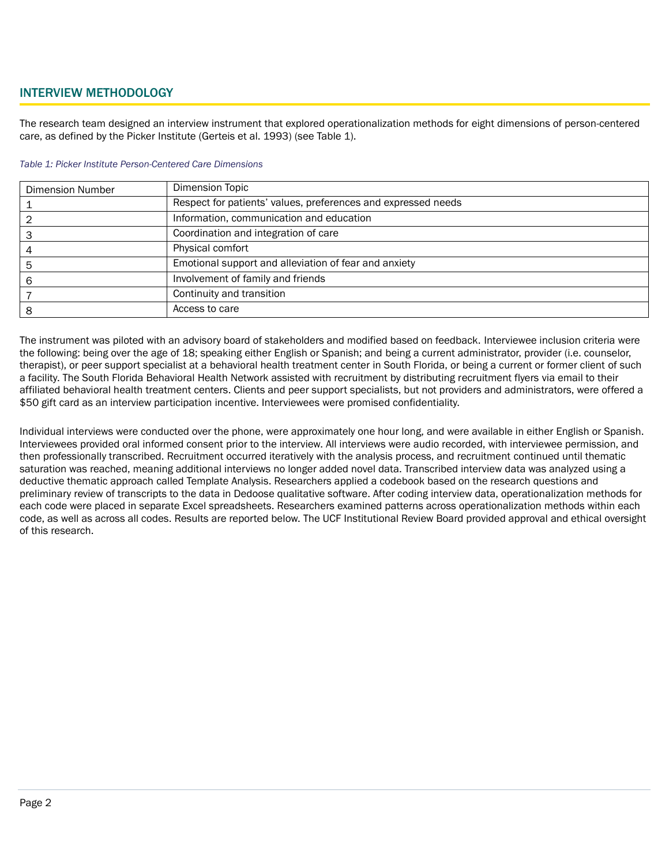#### INTERVIEW METHODOLOGY

The research team designed an interview instrument that explored operationalization methods for eight dimensions of person-centered care, as defined by the Picker Institute (Gerteis et al. 1993) (see Table 1).

#### *Table 1: Picker Institute Person-Centered Care Dimensions*

| <b>Dimension Number</b> | <b>Dimension Topic</b>                                        |
|-------------------------|---------------------------------------------------------------|
|                         | Respect for patients' values, preferences and expressed needs |
|                         | Information, communication and education                      |
|                         | Coordination and integration of care                          |
|                         | Physical comfort                                              |
|                         | Emotional support and alleviation of fear and anxiety         |
|                         | Involvement of family and friends                             |
|                         | Continuity and transition                                     |
|                         | Access to care                                                |

The instrument was piloted with an advisory board of stakeholders and modified based on feedback. Interviewee inclusion criteria were the following: being over the age of 18; speaking either English or Spanish; and being a current administrator, provider (i.e. counselor, therapist), or peer support specialist at a behavioral health treatment center in South Florida, or being a current or former client of such a facility. The South Florida Behavioral Health Network assisted with recruitment by distributing recruitment flyers via email to their affiliated behavioral health treatment centers. Clients and peer support specialists, but not providers and administrators, were offered a \$50 gift card as an interview participation incentive. Interviewees were promised confidentiality.

Individual interviews were conducted over the phone, were approximately one hour long, and were available in either English or Spanish. Interviewees provided oral informed consent prior to the interview. All interviews were audio recorded, with interviewee permission, and then professionally transcribed. Recruitment occurred iteratively with the analysis process, and recruitment continued until thematic saturation was reached, meaning additional interviews no longer added novel data. Transcribed interview data was analyzed using a deductive thematic approach called Template Analysis. Researchers applied a codebook based on the research questions and preliminary review of transcripts to the data in Dedoose qualitative software. After coding interview data, operationalization methods for each code were placed in separate Excel spreadsheets. Researchers examined patterns across operationalization methods within each code, as well as across all codes. Results are reported below. The UCF Institutional Review Board provided approval and ethical oversight of this research.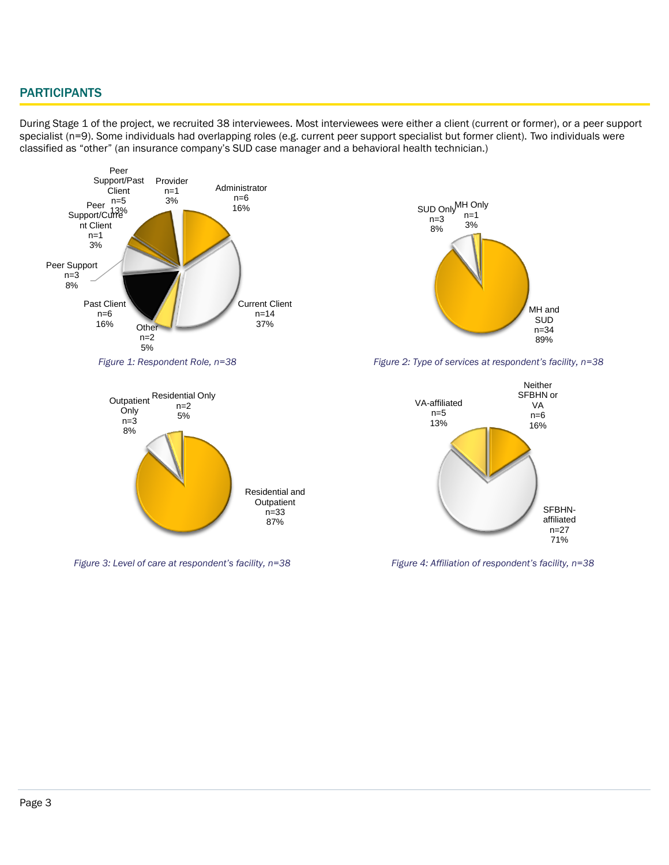### **PARTICIPANTS**

During Stage 1 of the project, we recruited 38 interviewees. Most interviewees were either a client (current or former), or a peer support specialist (n=9). Some individuals had overlapping roles (e.g. current peer support specialist but former client). Two individuals were classified as "other" (an insurance company's SUD case manager and a behavioral health technician.)





*Figure 1: Respondent Role, n=38 Figure 2: Type of services at respondent's facility, n=38*



 *Figure 3: Level of care at respondent's facility, n=38 Figure 4: Affiliation of respondent's facility, n=38*

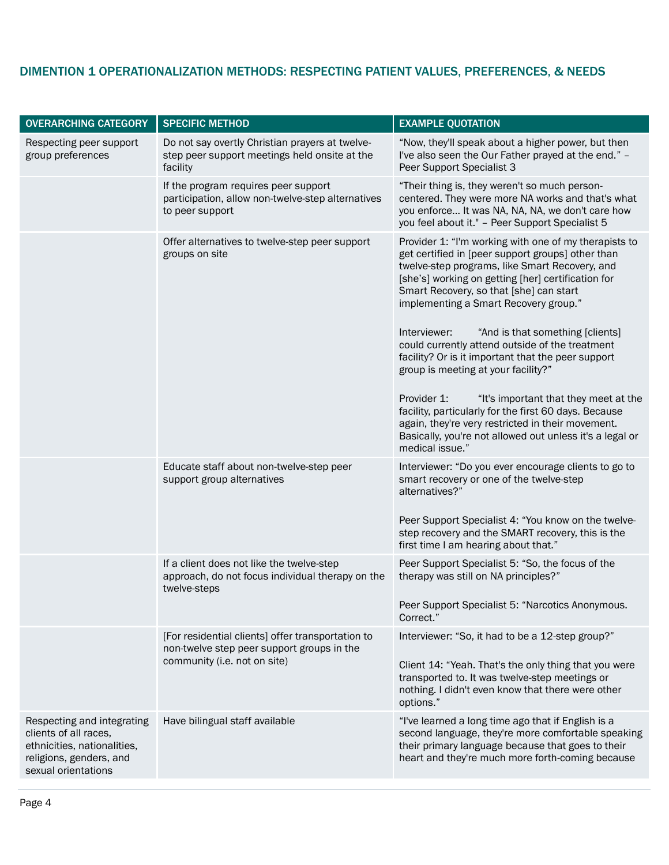# DIMENTION 1 OPERATIONALIZATION METHODS: RESPECTING PATIENT VALUES, PREFERENCES, & NEEDS

| <b>OVERARCHING CATEGORY</b>                                                                                                          | <b>SPECIFIC METHOD</b>                                                                                                          | <b>EXAMPLE QUOTATION</b>                                                                                                                                                                                                                                                                                                                                                                                                                                                                                                                                                                                                                                                         |
|--------------------------------------------------------------------------------------------------------------------------------------|---------------------------------------------------------------------------------------------------------------------------------|----------------------------------------------------------------------------------------------------------------------------------------------------------------------------------------------------------------------------------------------------------------------------------------------------------------------------------------------------------------------------------------------------------------------------------------------------------------------------------------------------------------------------------------------------------------------------------------------------------------------------------------------------------------------------------|
| Respecting peer support<br>group preferences                                                                                         | Do not say overtly Christian prayers at twelve-<br>step peer support meetings held onsite at the<br>facility                    | "Now, they'll speak about a higher power, but then<br>I've also seen the Our Father prayed at the end." -<br>Peer Support Specialist 3                                                                                                                                                                                                                                                                                                                                                                                                                                                                                                                                           |
|                                                                                                                                      | If the program requires peer support<br>participation, allow non-twelve-step alternatives<br>to peer support                    | "Their thing is, they weren't so much person-<br>centered. They were more NA works and that's what<br>you enforce It was NA, NA, NA, we don't care how<br>you feel about it." - Peer Support Specialist 5                                                                                                                                                                                                                                                                                                                                                                                                                                                                        |
|                                                                                                                                      | Offer alternatives to twelve-step peer support<br>groups on site                                                                | Provider 1: "I'm working with one of my therapists to<br>get certified in [peer support groups] other than<br>twelve-step programs, like Smart Recovery, and<br>[she's] working on getting [her] certification for<br>Smart Recovery, so that [she] can start<br>implementing a Smart Recovery group."<br>Interviewer:<br>"And is that something [clients]<br>could currently attend outside of the treatment<br>facility? Or is it important that the peer support<br>group is meeting at your facility?"<br>Provider 1:<br>"It's important that they meet at the<br>facility, particularly for the first 60 days. Because<br>again, they're very restricted in their movement. |
|                                                                                                                                      |                                                                                                                                 | Basically, you're not allowed out unless it's a legal or<br>medical issue."                                                                                                                                                                                                                                                                                                                                                                                                                                                                                                                                                                                                      |
|                                                                                                                                      | Educate staff about non-twelve-step peer<br>support group alternatives                                                          | Interviewer: "Do you ever encourage clients to go to<br>smart recovery or one of the twelve-step<br>alternatives?"<br>Peer Support Specialist 4: "You know on the twelve-<br>step recovery and the SMART recovery, this is the<br>first time I am hearing about that."                                                                                                                                                                                                                                                                                                                                                                                                           |
|                                                                                                                                      | If a client does not like the twelve-step<br>approach, do not focus individual therapy on the<br>twelve-steps                   | Peer Support Specialist 5: "So, the focus of the<br>therapy was still on NA principles?"<br>Peer Support Specialist 5: "Narcotics Anonymous.<br>Correct."                                                                                                                                                                                                                                                                                                                                                                                                                                                                                                                        |
|                                                                                                                                      | [For residential clients] offer transportation to<br>non-twelve step peer support groups in the<br>community (i.e. not on site) | Interviewer: "So, it had to be a 12-step group?"<br>Client 14: "Yeah. That's the only thing that you were<br>transported to. It was twelve-step meetings or<br>nothing. I didn't even know that there were other<br>options."                                                                                                                                                                                                                                                                                                                                                                                                                                                    |
| Respecting and integrating<br>clients of all races,<br>ethnicities, nationalities,<br>religions, genders, and<br>sexual orientations | Have bilingual staff available                                                                                                  | "I've learned a long time ago that if English is a<br>second language, they're more comfortable speaking<br>their primary language because that goes to their<br>heart and they're much more forth-coming because                                                                                                                                                                                                                                                                                                                                                                                                                                                                |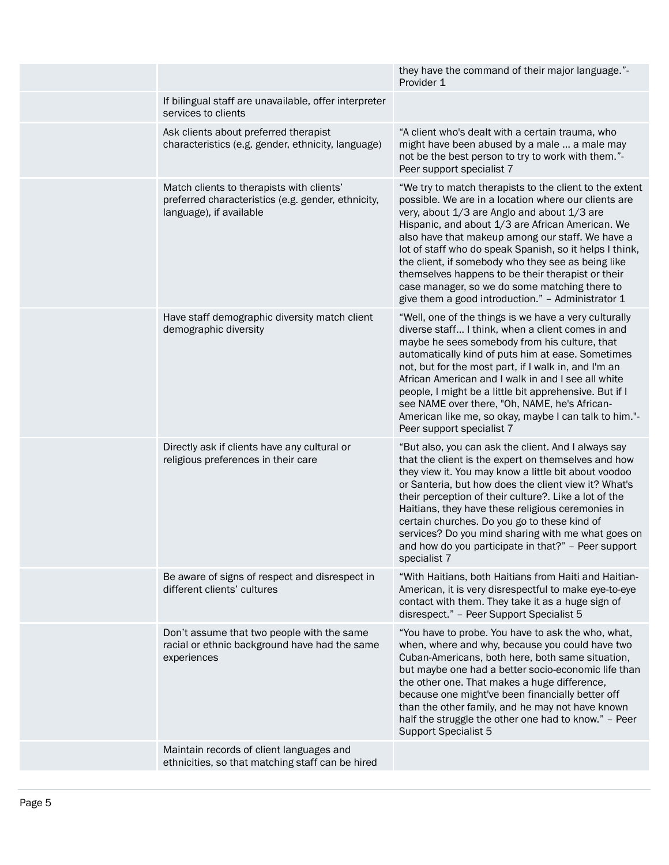|                                                                                                                            | they have the command of their major language."-<br>Provider 1                                                                                                                                                                                                                                                                                                                                                                                                                                                                                     |
|----------------------------------------------------------------------------------------------------------------------------|----------------------------------------------------------------------------------------------------------------------------------------------------------------------------------------------------------------------------------------------------------------------------------------------------------------------------------------------------------------------------------------------------------------------------------------------------------------------------------------------------------------------------------------------------|
| If bilingual staff are unavailable, offer interpreter<br>services to clients                                               |                                                                                                                                                                                                                                                                                                                                                                                                                                                                                                                                                    |
| Ask clients about preferred therapist<br>characteristics (e.g. gender, ethnicity, language)                                | "A client who's dealt with a certain trauma, who<br>might have been abused by a male  a male may<br>not be the best person to try to work with them."-<br>Peer support specialist 7                                                                                                                                                                                                                                                                                                                                                                |
| Match clients to therapists with clients'<br>preferred characteristics (e.g. gender, ethnicity,<br>language), if available | "We try to match therapists to the client to the extent<br>possible. We are in a location where our clients are<br>very, about 1/3 are Anglo and about 1/3 are<br>Hispanic, and about 1/3 are African American. We<br>also have that makeup among our staff. We have a<br>lot of staff who do speak Spanish, so it helps I think,<br>the client, if somebody who they see as being like<br>themselves happens to be their therapist or their<br>case manager, so we do some matching there to<br>give them a good introduction." - Administrator 1 |
| Have staff demographic diversity match client<br>demographic diversity                                                     | "Well, one of the things is we have a very culturally<br>diverse staff I think, when a client comes in and<br>maybe he sees somebody from his culture, that<br>automatically kind of puts him at ease. Sometimes<br>not, but for the most part, if I walk in, and I'm an<br>African American and I walk in and I see all white<br>people, I might be a little bit apprehensive. But if I<br>see NAME over there, "Oh, NAME, he's African-<br>American like me, so okay, maybe I can talk to him."-<br>Peer support specialist 7                    |
| Directly ask if clients have any cultural or<br>religious preferences in their care                                        | "But also, you can ask the client. And I always say<br>that the client is the expert on themselves and how<br>they view it. You may know a little bit about voodoo<br>or Santeria, but how does the client view it? What's<br>their perception of their culture?. Like a lot of the<br>Haitians, they have these religious ceremonies in<br>certain churches. Do you go to these kind of<br>services? Do you mind sharing with me what goes on<br>and how do you participate in that?" - Peer support<br>specialist 7                              |
| Be aware of signs of respect and disrespect in<br>different clients' cultures                                              | "With Haitians, both Haitians from Haiti and Haitian-<br>American, it is very disrespectful to make eye-to-eye<br>contact with them. They take it as a huge sign of<br>disrespect." - Peer Support Specialist 5                                                                                                                                                                                                                                                                                                                                    |
| Don't assume that two people with the same<br>racial or ethnic background have had the same<br>experiences                 | "You have to probe. You have to ask the who, what,<br>when, where and why, because you could have two<br>Cuban-Americans, both here, both same situation,<br>but maybe one had a better socio-economic life than<br>the other one. That makes a huge difference,<br>because one might've been financially better off<br>than the other family, and he may not have known<br>half the struggle the other one had to know." - Peer<br><b>Support Specialist 5</b>                                                                                    |
| Maintain records of client languages and<br>ethnicities, so that matching staff can be hired                               |                                                                                                                                                                                                                                                                                                                                                                                                                                                                                                                                                    |
|                                                                                                                            |                                                                                                                                                                                                                                                                                                                                                                                                                                                                                                                                                    |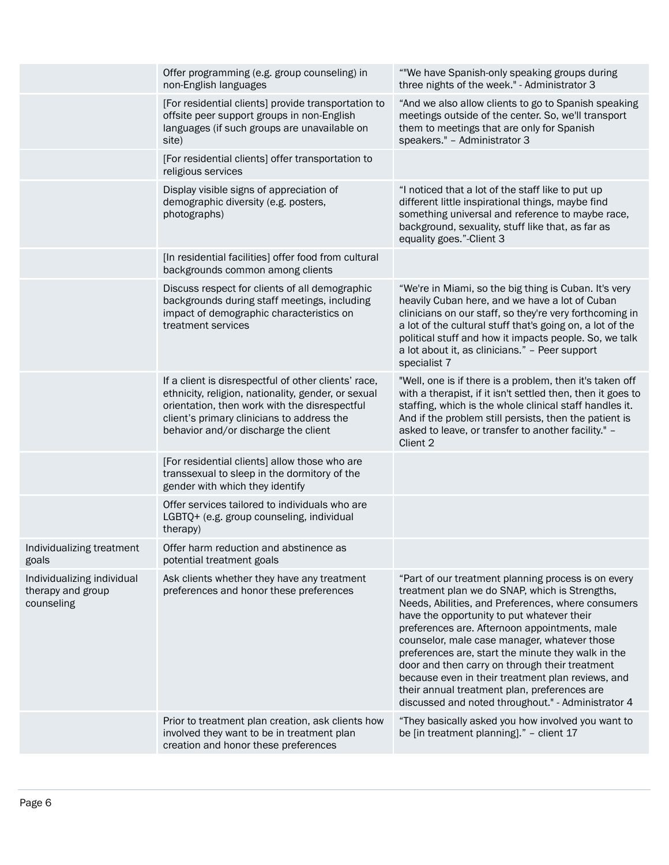|                                                               | Offer programming (e.g. group counseling) in<br>non-English languages                                                                                                                                                                              | ""We have Spanish-only speaking groups during<br>three nights of the week." - Administrator 3                                                                                                                                                                                                                                                                                                                                                                                                                                                                                 |
|---------------------------------------------------------------|----------------------------------------------------------------------------------------------------------------------------------------------------------------------------------------------------------------------------------------------------|-------------------------------------------------------------------------------------------------------------------------------------------------------------------------------------------------------------------------------------------------------------------------------------------------------------------------------------------------------------------------------------------------------------------------------------------------------------------------------------------------------------------------------------------------------------------------------|
|                                                               | [For residential clients] provide transportation to<br>offsite peer support groups in non-English<br>languages (if such groups are unavailable on<br>site)                                                                                         | "And we also allow clients to go to Spanish speaking<br>meetings outside of the center. So, we'll transport<br>them to meetings that are only for Spanish<br>speakers." - Administrator 3                                                                                                                                                                                                                                                                                                                                                                                     |
|                                                               | [For residential clients] offer transportation to<br>religious services                                                                                                                                                                            |                                                                                                                                                                                                                                                                                                                                                                                                                                                                                                                                                                               |
|                                                               | Display visible signs of appreciation of<br>demographic diversity (e.g. posters,<br>photographs)                                                                                                                                                   | "I noticed that a lot of the staff like to put up<br>different little inspirational things, maybe find<br>something universal and reference to maybe race,<br>background, sexuality, stuff like that, as far as<br>equality goes."-Client 3                                                                                                                                                                                                                                                                                                                                   |
|                                                               | [In residential facilities] offer food from cultural<br>backgrounds common among clients                                                                                                                                                           |                                                                                                                                                                                                                                                                                                                                                                                                                                                                                                                                                                               |
|                                                               | Discuss respect for clients of all demographic<br>backgrounds during staff meetings, including<br>impact of demographic characteristics on<br>treatment services                                                                                   | "We're in Miami, so the big thing is Cuban. It's very<br>heavily Cuban here, and we have a lot of Cuban<br>clinicians on our staff, so they're very forthcoming in<br>a lot of the cultural stuff that's going on, a lot of the<br>political stuff and how it impacts people. So, we talk<br>a lot about it, as clinicians." - Peer support<br>specialist 7                                                                                                                                                                                                                   |
|                                                               | If a client is disrespectful of other clients' race,<br>ethnicity, religion, nationality, gender, or sexual<br>orientation, then work with the disrespectful<br>client's primary clinicians to address the<br>behavior and/or discharge the client | "Well, one is if there is a problem, then it's taken off<br>with a therapist, if it isn't settled then, then it goes to<br>staffing, which is the whole clinical staff handles it.<br>And if the problem still persists, then the patient is<br>asked to leave, or transfer to another facility." -<br>Client 2                                                                                                                                                                                                                                                               |
|                                                               | [For residential clients] allow those who are<br>transsexual to sleep in the dormitory of the<br>gender with which they identify                                                                                                                   |                                                                                                                                                                                                                                                                                                                                                                                                                                                                                                                                                                               |
|                                                               | Offer services tailored to individuals who are<br>LGBTQ+ (e.g. group counseling, individual<br>therapy)                                                                                                                                            |                                                                                                                                                                                                                                                                                                                                                                                                                                                                                                                                                                               |
| Individualizing treatment<br>goals                            | Offer harm reduction and abstinence as<br>potential treatment goals                                                                                                                                                                                |                                                                                                                                                                                                                                                                                                                                                                                                                                                                                                                                                                               |
| Individualizing individual<br>therapy and group<br>counseling | Ask clients whether they have any treatment<br>preferences and honor these preferences                                                                                                                                                             | "Part of our treatment planning process is on every<br>treatment plan we do SNAP, which is Strengths,<br>Needs, Abilities, and Preferences, where consumers<br>have the opportunity to put whatever their<br>preferences are. Afternoon appointments, male<br>counselor, male case manager, whatever those<br>preferences are, start the minute they walk in the<br>door and then carry on through their treatment<br>because even in their treatment plan reviews, and<br>their annual treatment plan, preferences are<br>discussed and noted throughout." - Administrator 4 |
|                                                               | Prior to treatment plan creation, ask clients how<br>involved they want to be in treatment plan<br>creation and honor these preferences                                                                                                            | "They basically asked you how involved you want to<br>be [in treatment planning]." - client 17                                                                                                                                                                                                                                                                                                                                                                                                                                                                                |
|                                                               |                                                                                                                                                                                                                                                    |                                                                                                                                                                                                                                                                                                                                                                                                                                                                                                                                                                               |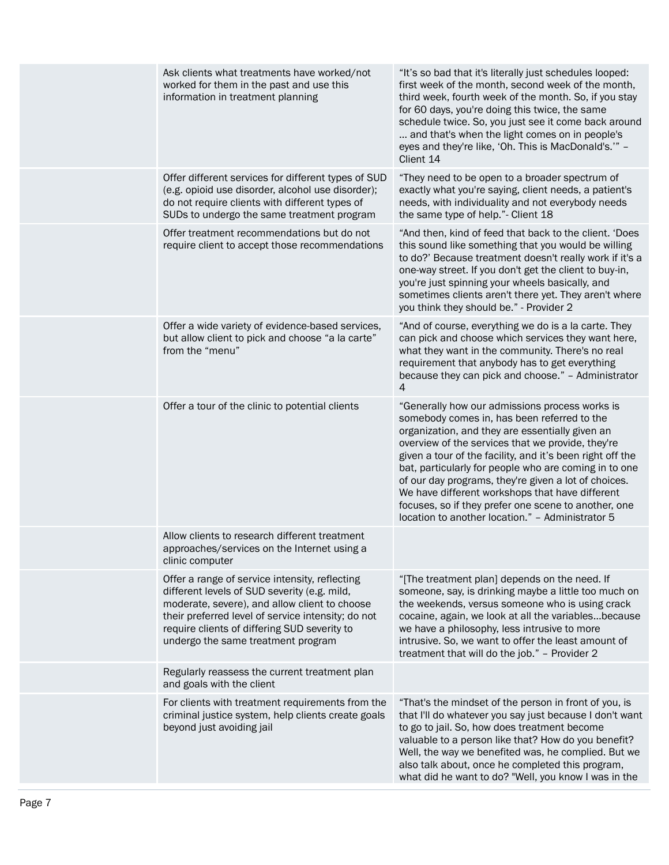| Ask clients what treatments have worked/not<br>worked for them in the past and use this<br>information in treatment planning                                                                                                                                                                | "It's so bad that it's literally just schedules looped:<br>first week of the month, second week of the month,<br>third week, fourth week of the month. So, if you stay<br>for 60 days, you're doing this twice, the same<br>schedule twice. So, you just see it come back around<br>and that's when the light comes on in people's<br>eyes and they're like, 'Oh. This is MacDonald's.'" -<br>Client 14                                                                                                                                            |
|---------------------------------------------------------------------------------------------------------------------------------------------------------------------------------------------------------------------------------------------------------------------------------------------|----------------------------------------------------------------------------------------------------------------------------------------------------------------------------------------------------------------------------------------------------------------------------------------------------------------------------------------------------------------------------------------------------------------------------------------------------------------------------------------------------------------------------------------------------|
| Offer different services for different types of SUD<br>(e.g. opioid use disorder, alcohol use disorder);<br>do not require clients with different types of<br>SUDs to undergo the same treatment program                                                                                    | "They need to be open to a broader spectrum of<br>exactly what you're saying, client needs, a patient's<br>needs, with individuality and not everybody needs<br>the same type of help."- Client 18                                                                                                                                                                                                                                                                                                                                                 |
| Offer treatment recommendations but do not<br>require client to accept those recommendations                                                                                                                                                                                                | "And then, kind of feed that back to the client. 'Does<br>this sound like something that you would be willing<br>to do?' Because treatment doesn't really work if it's a<br>one-way street. If you don't get the client to buy-in,<br>you're just spinning your wheels basically, and<br>sometimes clients aren't there yet. They aren't where<br>you think they should be." - Provider 2                                                                                                                                                          |
| Offer a wide variety of evidence-based services,<br>but allow client to pick and choose "a la carte"<br>from the "menu"                                                                                                                                                                     | "And of course, everything we do is a la carte. They<br>can pick and choose which services they want here,<br>what they want in the community. There's no real<br>requirement that anybody has to get everything<br>because they can pick and choose." - Administrator<br>$\overline{4}$                                                                                                                                                                                                                                                           |
| Offer a tour of the clinic to potential clients                                                                                                                                                                                                                                             | "Generally how our admissions process works is<br>somebody comes in, has been referred to the<br>organization, and they are essentially given an<br>overview of the services that we provide, they're<br>given a tour of the facility, and it's been right off the<br>bat, particularly for people who are coming in to one<br>of our day programs, they're given a lot of choices.<br>We have different workshops that have different<br>focuses, so if they prefer one scene to another, one<br>location to another location." - Administrator 5 |
| Allow clients to research different treatment<br>approaches/services on the Internet using a<br>clinic computer                                                                                                                                                                             |                                                                                                                                                                                                                                                                                                                                                                                                                                                                                                                                                    |
| Offer a range of service intensity, reflecting<br>different levels of SUD severity (e.g. mild,<br>moderate, severe), and allow client to choose<br>their preferred level of service intensity; do not<br>require clients of differing SUD severity to<br>undergo the same treatment program | "[The treatment plan] depends on the need. If<br>someone, say, is drinking maybe a little too much on<br>the weekends, versus someone who is using crack<br>cocaine, again, we look at all the variablesbecause<br>we have a philosophy, less intrusive to more<br>intrusive. So, we want to offer the least amount of<br>treatment that will do the job." - Provider 2                                                                                                                                                                            |
| Regularly reassess the current treatment plan<br>and goals with the client                                                                                                                                                                                                                  |                                                                                                                                                                                                                                                                                                                                                                                                                                                                                                                                                    |
| For clients with treatment requirements from the<br>criminal justice system, help clients create goals<br>beyond just avoiding jail                                                                                                                                                         | "That's the mindset of the person in front of you, is<br>that I'll do whatever you say just because I don't want<br>to go to jail. So, how does treatment become<br>valuable to a person like that? How do you benefit?<br>Well, the way we benefited was, he complied. But we<br>also talk about, once he completed this program,<br>what did he want to do? "Well, you know I was in the                                                                                                                                                         |
|                                                                                                                                                                                                                                                                                             |                                                                                                                                                                                                                                                                                                                                                                                                                                                                                                                                                    |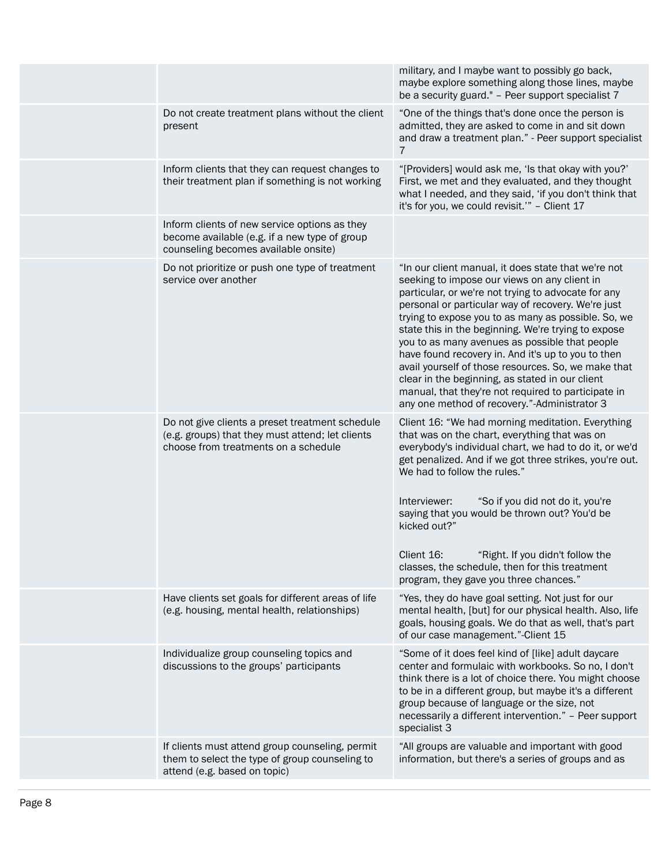|                                                                                                                                             | military, and I maybe want to possibly go back,<br>maybe explore something along those lines, maybe<br>be a security guard." - Peer support specialist 7                                                                                                                                                                                                                                                                                                                                                                                                                                                                                                |
|---------------------------------------------------------------------------------------------------------------------------------------------|---------------------------------------------------------------------------------------------------------------------------------------------------------------------------------------------------------------------------------------------------------------------------------------------------------------------------------------------------------------------------------------------------------------------------------------------------------------------------------------------------------------------------------------------------------------------------------------------------------------------------------------------------------|
| Do not create treatment plans without the client<br>present                                                                                 | "One of the things that's done once the person is<br>admitted, they are asked to come in and sit down<br>and draw a treatment plan." - Peer support specialist<br>7                                                                                                                                                                                                                                                                                                                                                                                                                                                                                     |
| Inform clients that they can request changes to<br>their treatment plan if something is not working                                         | "[Providers] would ask me, 'Is that okay with you?'<br>First, we met and they evaluated, and they thought<br>what I needed, and they said, 'if you don't think that<br>it's for you, we could revisit." - Client 17                                                                                                                                                                                                                                                                                                                                                                                                                                     |
| Inform clients of new service options as they<br>become available (e.g. if a new type of group<br>counseling becomes available onsite)      |                                                                                                                                                                                                                                                                                                                                                                                                                                                                                                                                                                                                                                                         |
| Do not prioritize or push one type of treatment<br>service over another                                                                     | "In our client manual, it does state that we're not<br>seeking to impose our views on any client in<br>particular, or we're not trying to advocate for any<br>personal or particular way of recovery. We're just<br>trying to expose you to as many as possible. So, we<br>state this in the beginning. We're trying to expose<br>you to as many avenues as possible that people<br>have found recovery in. And it's up to you to then<br>avail yourself of those resources. So, we make that<br>clear in the beginning, as stated in our client<br>manual, that they're not required to participate in<br>any one method of recovery."-Administrator 3 |
| Do not give clients a preset treatment schedule<br>(e.g. groups) that they must attend; let clients<br>choose from treatments on a schedule | Client 16: "We had morning meditation. Everything<br>that was on the chart, everything that was on<br>everybody's individual chart, we had to do it, or we'd<br>get penalized. And if we got three strikes, you're out.<br>We had to follow the rules."<br>Interviewer:<br>"So if you did not do it, you're<br>saying that you would be thrown out? You'd be<br>kicked out?"<br>Client 16:<br>"Right. If you didn't follow the<br>classes, the schedule, then for this treatment<br>program, they gave you three chances."                                                                                                                              |
| Have clients set goals for different areas of life<br>(e.g. housing, mental health, relationships)                                          | "Yes, they do have goal setting. Not just for our<br>mental health, [but] for our physical health. Also, life<br>goals, housing goals. We do that as well, that's part<br>of our case management."-Client 15                                                                                                                                                                                                                                                                                                                                                                                                                                            |
| Individualize group counseling topics and<br>discussions to the groups' participants                                                        | "Some of it does feel kind of [like] adult daycare<br>center and formulaic with workbooks. So no, I don't<br>think there is a lot of choice there. You might choose<br>to be in a different group, but maybe it's a different<br>group because of language or the size, not<br>necessarily a different intervention." - Peer support<br>specialist 3                                                                                                                                                                                                                                                                                                    |
| If clients must attend group counseling, permit<br>them to select the type of group counseling to<br>attend (e.g. based on topic)           | "All groups are valuable and important with good<br>information, but there's a series of groups and as                                                                                                                                                                                                                                                                                                                                                                                                                                                                                                                                                  |
|                                                                                                                                             |                                                                                                                                                                                                                                                                                                                                                                                                                                                                                                                                                                                                                                                         |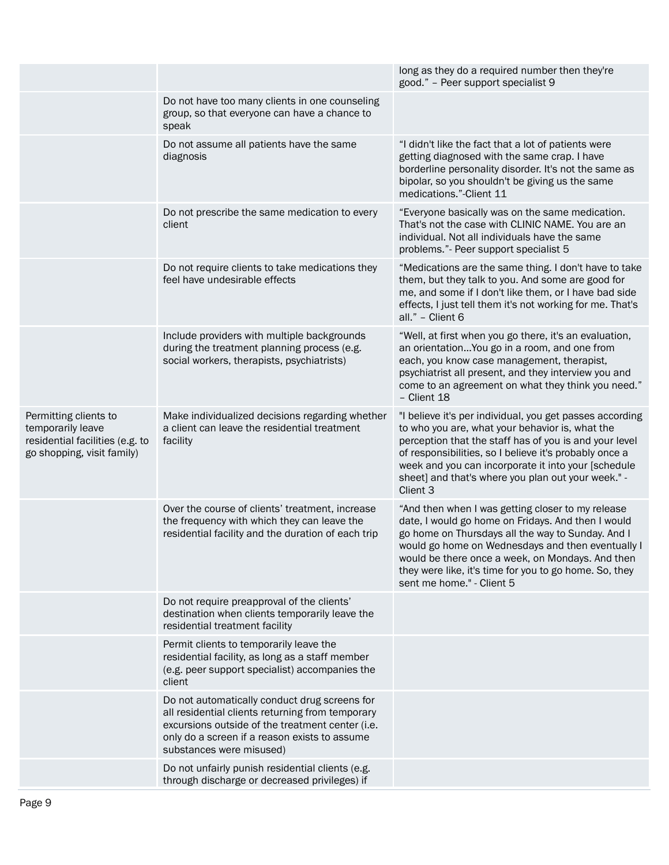|                                                                                                             |                                                                                                                                                                                                                                    | long as they do a required number then they're<br>good." - Peer support specialist 9                                                                                                                                                                                                                                                                         |
|-------------------------------------------------------------------------------------------------------------|------------------------------------------------------------------------------------------------------------------------------------------------------------------------------------------------------------------------------------|--------------------------------------------------------------------------------------------------------------------------------------------------------------------------------------------------------------------------------------------------------------------------------------------------------------------------------------------------------------|
|                                                                                                             | Do not have too many clients in one counseling<br>group, so that everyone can have a chance to<br>speak                                                                                                                            |                                                                                                                                                                                                                                                                                                                                                              |
|                                                                                                             | Do not assume all patients have the same<br>diagnosis                                                                                                                                                                              | "I didn't like the fact that a lot of patients were<br>getting diagnosed with the same crap. I have<br>borderline personality disorder. It's not the same as<br>bipolar, so you shouldn't be giving us the same<br>medications."-Client 11                                                                                                                   |
|                                                                                                             | Do not prescribe the same medication to every<br>client                                                                                                                                                                            | "Everyone basically was on the same medication.<br>That's not the case with CLINIC NAME. You are an<br>individual. Not all individuals have the same<br>problems."- Peer support specialist 5                                                                                                                                                                |
|                                                                                                             | Do not require clients to take medications they<br>feel have undesirable effects                                                                                                                                                   | "Medications are the same thing. I don't have to take<br>them, but they talk to you. And some are good for<br>me, and some if I don't like them, or I have bad side<br>effects, I just tell them it's not working for me. That's<br>all." - Client 6                                                                                                         |
|                                                                                                             | Include providers with multiple backgrounds<br>during the treatment planning process (e.g.<br>social workers, therapists, psychiatrists)                                                                                           | "Well, at first when you go there, it's an evaluation,<br>an orientation You go in a room, and one from<br>each, you know case management, therapist,<br>psychiatrist all present, and they interview you and<br>come to an agreement on what they think you need."<br>- Client 18                                                                           |
| Permitting clients to<br>temporarily leave<br>residential facilities (e.g. to<br>go shopping, visit family) | Make individualized decisions regarding whether<br>a client can leave the residential treatment<br>facility                                                                                                                        | "I believe it's per individual, you get passes according<br>to who you are, what your behavior is, what the<br>perception that the staff has of you is and your level<br>of responsibilities, so I believe it's probably once a<br>week and you can incorporate it into your [schedule<br>sheet] and that's where you plan out your week." -<br>Client 3     |
|                                                                                                             | Over the course of clients' treatment, increase<br>the frequency with which they can leave the<br>residential facility and the duration of each trip                                                                               | "And then when I was getting closer to my release<br>date, I would go home on Fridays. And then I would<br>go home on Thursdays all the way to Sunday. And I<br>would go home on Wednesdays and then eventually I<br>would be there once a week, on Mondays. And then<br>they were like, it's time for you to go home. So, they<br>sent me home." - Client 5 |
|                                                                                                             | Do not require preapproval of the clients'<br>destination when clients temporarily leave the<br>residential treatment facility                                                                                                     |                                                                                                                                                                                                                                                                                                                                                              |
|                                                                                                             | Permit clients to temporarily leave the<br>residential facility, as long as a staff member<br>(e.g. peer support specialist) accompanies the<br>client                                                                             |                                                                                                                                                                                                                                                                                                                                                              |
|                                                                                                             | Do not automatically conduct drug screens for<br>all residential clients returning from temporary<br>excursions outside of the treatment center (i.e.<br>only do a screen if a reason exists to assume<br>substances were misused) |                                                                                                                                                                                                                                                                                                                                                              |
|                                                                                                             | Do not unfairly punish residential clients (e.g.<br>through discharge or decreased privileges) if                                                                                                                                  |                                                                                                                                                                                                                                                                                                                                                              |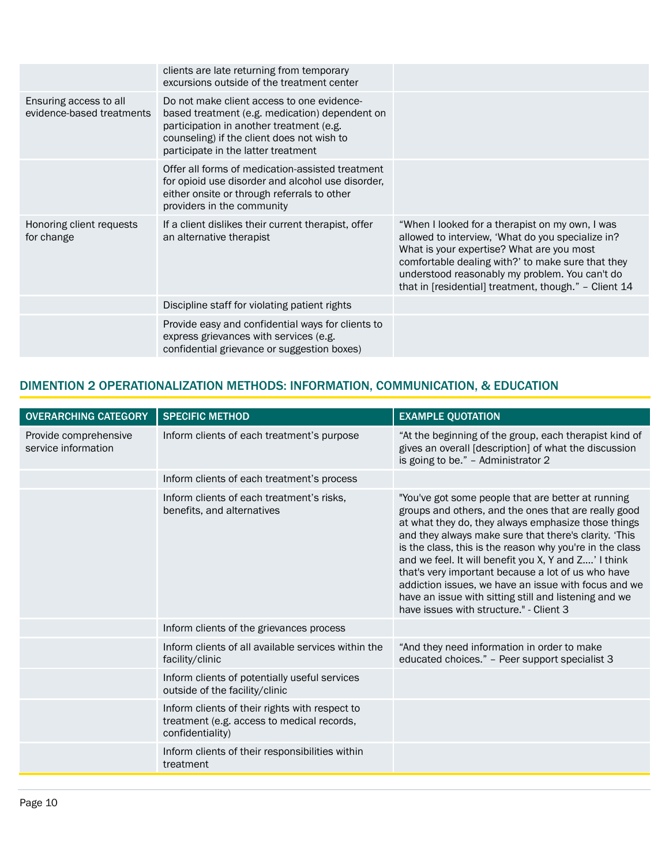|                                                     | clients are late returning from temporary<br>excursions outside of the treatment center                                                                                                                                       |                                                                                                                                                                                                                                                                                                                   |
|-----------------------------------------------------|-------------------------------------------------------------------------------------------------------------------------------------------------------------------------------------------------------------------------------|-------------------------------------------------------------------------------------------------------------------------------------------------------------------------------------------------------------------------------------------------------------------------------------------------------------------|
| Ensuring access to all<br>evidence-based treatments | Do not make client access to one evidence-<br>based treatment (e.g. medication) dependent on<br>participation in another treatment (e.g.<br>counseling) if the client does not wish to<br>participate in the latter treatment |                                                                                                                                                                                                                                                                                                                   |
|                                                     | Offer all forms of medication-assisted treatment<br>for opioid use disorder and alcohol use disorder,<br>either onsite or through referrals to other<br>providers in the community                                            |                                                                                                                                                                                                                                                                                                                   |
| Honoring client requests<br>for change              | If a client dislikes their current therapist, offer<br>an alternative therapist                                                                                                                                               | "When I looked for a therapist on my own, I was<br>allowed to interview, 'What do you specialize in?<br>What is your expertise? What are you most<br>comfortable dealing with?' to make sure that they<br>understood reasonably my problem. You can't do<br>that in [residential] treatment, though." - Client 14 |
|                                                     | Discipline staff for violating patient rights                                                                                                                                                                                 |                                                                                                                                                                                                                                                                                                                   |
|                                                     | Provide easy and confidential ways for clients to<br>express grievances with services (e.g.<br>confidential grievance or suggestion boxes)                                                                                    |                                                                                                                                                                                                                                                                                                                   |

## DIMENTION 2 OPERATIONALIZATION METHODS: INFORMATION, COMMUNICATION, & EDUCATION

| <b>OVERARCHING CATEGORY</b>                  | <b>SPECIFIC METHOD</b>                                                                                           | <b>EXAMPLE QUOTATION</b>                                                                                                                                                                                                                                                                                                                                                                                                                                                                                                                                         |
|----------------------------------------------|------------------------------------------------------------------------------------------------------------------|------------------------------------------------------------------------------------------------------------------------------------------------------------------------------------------------------------------------------------------------------------------------------------------------------------------------------------------------------------------------------------------------------------------------------------------------------------------------------------------------------------------------------------------------------------------|
| Provide comprehensive<br>service information | Inform clients of each treatment's purpose                                                                       | "At the beginning of the group, each therapist kind of<br>gives an overall [description] of what the discussion<br>is going to be." - Administrator 2                                                                                                                                                                                                                                                                                                                                                                                                            |
|                                              | Inform clients of each treatment's process                                                                       |                                                                                                                                                                                                                                                                                                                                                                                                                                                                                                                                                                  |
|                                              | Inform clients of each treatment's risks,<br>benefits, and alternatives                                          | "You've got some people that are better at running<br>groups and others, and the ones that are really good<br>at what they do, they always emphasize those things<br>and they always make sure that there's clarity. 'This<br>is the class, this is the reason why you're in the class<br>and we feel. It will benefit you X, Y and Z' I think<br>that's very important because a lot of us who have<br>addiction issues, we have an issue with focus and we<br>have an issue with sitting still and listening and we<br>have issues with structure." - Client 3 |
|                                              | Inform clients of the grievances process                                                                         |                                                                                                                                                                                                                                                                                                                                                                                                                                                                                                                                                                  |
|                                              | Inform clients of all available services within the<br>facility/clinic                                           | "And they need information in order to make<br>educated choices." - Peer support specialist 3                                                                                                                                                                                                                                                                                                                                                                                                                                                                    |
|                                              | Inform clients of potentially useful services<br>outside of the facility/clinic                                  |                                                                                                                                                                                                                                                                                                                                                                                                                                                                                                                                                                  |
|                                              | Inform clients of their rights with respect to<br>treatment (e.g. access to medical records,<br>confidentiality) |                                                                                                                                                                                                                                                                                                                                                                                                                                                                                                                                                                  |
|                                              | Inform clients of their responsibilities within<br>treatment                                                     |                                                                                                                                                                                                                                                                                                                                                                                                                                                                                                                                                                  |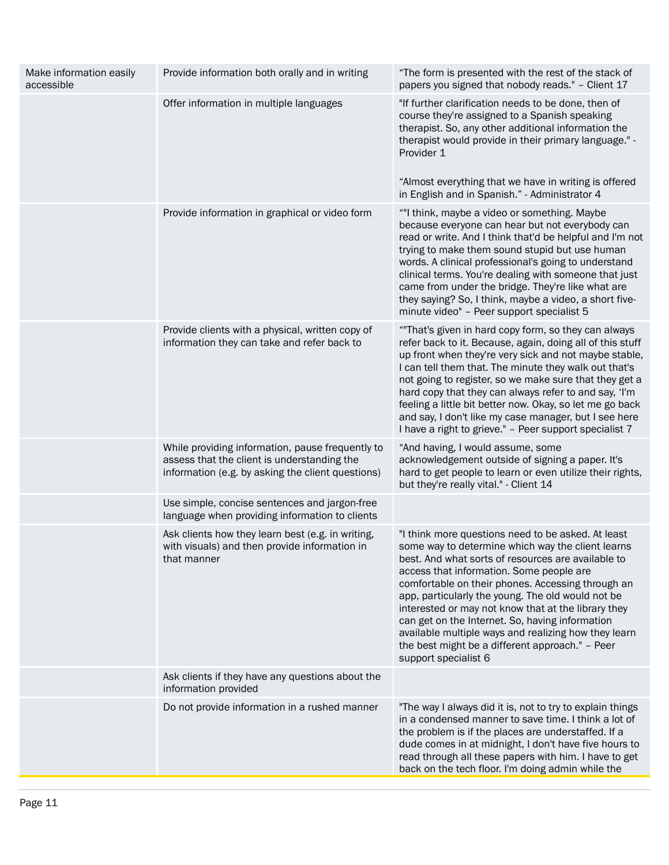| Make information easily<br>accessible | Provide information both orally and in writing                                                                                                       | "The form is presented with the rest of the stack of<br>papers you signed that nobody reads." - Client 17                                                                                                                                                                                                                                                                                                                                                                                                                                                        |
|---------------------------------------|------------------------------------------------------------------------------------------------------------------------------------------------------|------------------------------------------------------------------------------------------------------------------------------------------------------------------------------------------------------------------------------------------------------------------------------------------------------------------------------------------------------------------------------------------------------------------------------------------------------------------------------------------------------------------------------------------------------------------|
|                                       | Offer information in multiple languages                                                                                                              | "If further clarification needs to be done, then of<br>course they're assigned to a Spanish speaking<br>therapist. So, any other additional information the<br>therapist would provide in their primary language." -<br>Provider 1<br>"Almost everything that we have in writing is offered<br>in English and in Spanish." - Administrator 4                                                                                                                                                                                                                     |
|                                       | Provide information in graphical or video form                                                                                                       | ""I think, maybe a video or something. Maybe<br>because everyone can hear but not everybody can<br>read or write. And I think that'd be helpful and I'm not<br>trying to make them sound stupid but use human<br>words. A clinical professional's going to understand<br>clinical terms. You're dealing with someone that just<br>came from under the bridge. They're like what are<br>they saying? So, I think, maybe a video, a short five-<br>minute video" - Peer support specialist 5                                                                       |
|                                       | Provide clients with a physical, written copy of<br>information they can take and refer back to                                                      | "That's given in hard copy form, so they can always<br>refer back to it. Because, again, doing all of this stuff<br>up front when they're very sick and not maybe stable,<br>I can tell them that. The minute they walk out that's<br>not going to register, so we make sure that they get a<br>hard copy that they can always refer to and say, 'I'm<br>feeling a little bit better now. Okay, so let me go back<br>and say, I don't like my case manager, but I see here<br>I have a right to grieve." - Peer support specialist 7                             |
|                                       | While providing information, pause frequently to<br>assess that the client is understanding the<br>information (e.g. by asking the client questions) | "And having, I would assume, some<br>acknowledgement outside of signing a paper. It's<br>hard to get people to learn or even utilize their rights,<br>but they're really vital." - Client 14                                                                                                                                                                                                                                                                                                                                                                     |
|                                       | Use simple, concise sentences and jargon-free<br>language when providing information to clients                                                      |                                                                                                                                                                                                                                                                                                                                                                                                                                                                                                                                                                  |
|                                       | Ask clients how they learn best (e.g. in writing,<br>with visuals) and then provide information in<br>that manner                                    | "I think more questions need to be asked. At least<br>some way to determine which way the client learns<br>best. And what sorts of resources are available to<br>access that information. Some people are<br>comfortable on their phones. Accessing through an<br>app, particularly the young. The old would not be<br>interested or may not know that at the library they<br>can get on the Internet. So, having information<br>available multiple ways and realizing how they learn<br>the best might be a different approach." - Peer<br>support specialist 6 |
|                                       | Ask clients if they have any questions about the<br>information provided                                                                             |                                                                                                                                                                                                                                                                                                                                                                                                                                                                                                                                                                  |
|                                       | Do not provide information in a rushed manner                                                                                                        | "The way I always did it is, not to try to explain things<br>in a condensed manner to save time. I think a lot of<br>the problem is if the places are understaffed. If a<br>dude comes in at midnight, I don't have five hours to<br>read through all these papers with him. I have to get<br>back on the tech floor. I'm doing admin while the                                                                                                                                                                                                                  |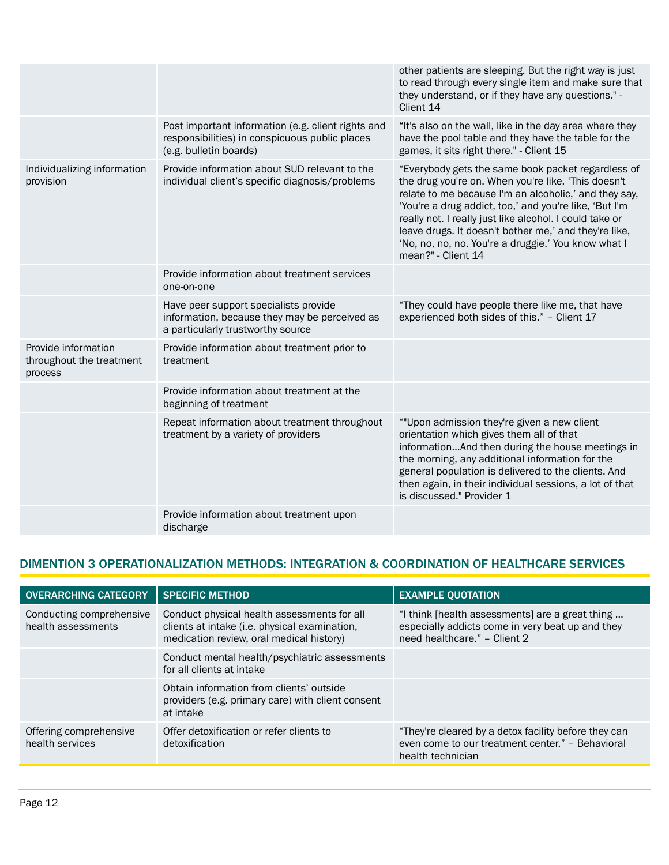|                                                            |                                                                                                                                | other patients are sleeping. But the right way is just<br>to read through every single item and make sure that<br>they understand, or if they have any questions." -<br>Client 14                                                                                                                                                                                                                                             |
|------------------------------------------------------------|--------------------------------------------------------------------------------------------------------------------------------|-------------------------------------------------------------------------------------------------------------------------------------------------------------------------------------------------------------------------------------------------------------------------------------------------------------------------------------------------------------------------------------------------------------------------------|
|                                                            | Post important information (e.g. client rights and<br>responsibilities) in conspicuous public places<br>(e.g. bulletin boards) | "It's also on the wall, like in the day area where they<br>have the pool table and they have the table for the<br>games, it sits right there." - Client 15                                                                                                                                                                                                                                                                    |
| Individualizing information<br>provision                   | Provide information about SUD relevant to the<br>individual client's specific diagnosis/problems                               | "Everybody gets the same book packet regardless of<br>the drug you're on. When you're like, 'This doesn't<br>relate to me because I'm an alcoholic,' and they say,<br>'You're a drug addict, too,' and you're like, 'But I'm<br>really not. I really just like alcohol. I could take or<br>leave drugs. It doesn't bother me,' and they're like,<br>'No, no, no, no. You're a druggie.' You know what I<br>mean?" - Client 14 |
|                                                            | Provide information about treatment services<br>one-on-one                                                                     |                                                                                                                                                                                                                                                                                                                                                                                                                               |
|                                                            | Have peer support specialists provide<br>information, because they may be perceived as<br>a particularly trustworthy source    | "They could have people there like me, that have<br>experienced both sides of this." - Client 17                                                                                                                                                                                                                                                                                                                              |
| Provide information<br>throughout the treatment<br>process | Provide information about treatment prior to<br>treatment                                                                      |                                                                                                                                                                                                                                                                                                                                                                                                                               |
|                                                            | Provide information about treatment at the<br>beginning of treatment                                                           |                                                                                                                                                                                                                                                                                                                                                                                                                               |
|                                                            | Repeat information about treatment throughout<br>treatment by a variety of providers                                           | ""Upon admission they're given a new client<br>orientation which gives them all of that<br>informationAnd then during the house meetings in<br>the morning, any additional information for the<br>general population is delivered to the clients. And<br>then again, in their individual sessions, a lot of that<br>is discussed." Provider 1                                                                                 |
|                                                            | Provide information about treatment upon<br>discharge                                                                          |                                                                                                                                                                                                                                                                                                                                                                                                                               |

# DIMENTION 3 OPERATIONALIZATION METHODS: INTEGRATION & COORDINATION OF HEALTHCARE SERVICES

| <b>OVERARCHING CATEGORY</b>                    | <b>SPECIFIC METHOD</b>                                                                                                                   | <b>EXAMPLE QUOTATION</b>                                                                                                            |
|------------------------------------------------|------------------------------------------------------------------------------------------------------------------------------------------|-------------------------------------------------------------------------------------------------------------------------------------|
| Conducting comprehensive<br>health assessments | Conduct physical health assessments for all<br>clients at intake (i.e. physical examination,<br>medication review, oral medical history) | "I think [health assessments] are a great thing<br>especially addicts come in very beat up and they<br>need healthcare." - Client 2 |
|                                                | Conduct mental health/psychiatric assessments<br>for all clients at intake                                                               |                                                                                                                                     |
|                                                | Obtain information from clients' outside<br>providers (e.g. primary care) with client consent<br>at intake                               |                                                                                                                                     |
| Offering comprehensive<br>health services      | Offer detoxification or refer clients to<br>detoxification                                                                               | "They're cleared by a detox facility before they can<br>even come to our treatment center." - Behavioral<br>health technician       |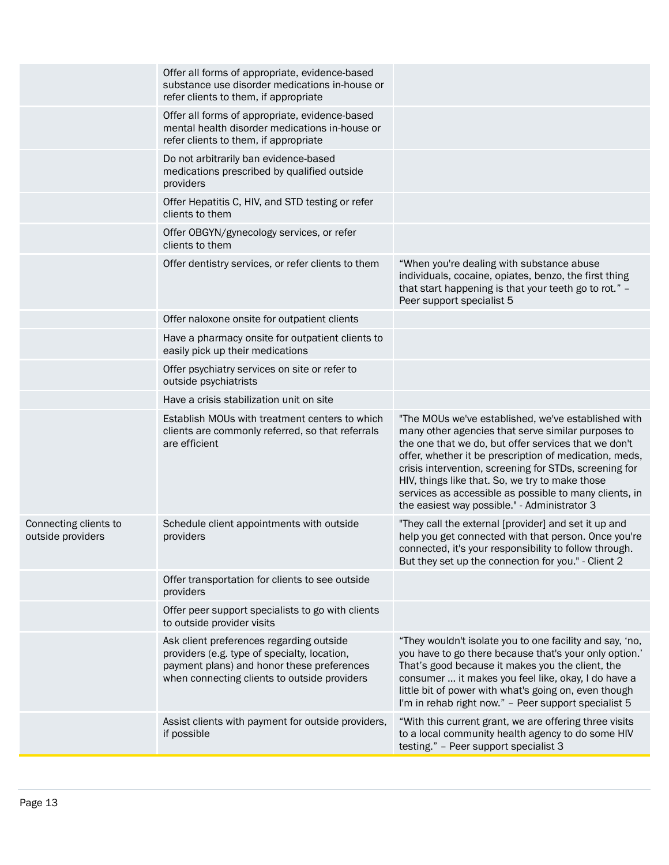|                                            | Offer all forms of appropriate, evidence-based<br>substance use disorder medications in-house or<br>refer clients to them, if appropriate                                              |                                                                                                                                                                                                                                                                                                                                                                                                                                                    |
|--------------------------------------------|----------------------------------------------------------------------------------------------------------------------------------------------------------------------------------------|----------------------------------------------------------------------------------------------------------------------------------------------------------------------------------------------------------------------------------------------------------------------------------------------------------------------------------------------------------------------------------------------------------------------------------------------------|
|                                            | Offer all forms of appropriate, evidence-based<br>mental health disorder medications in-house or<br>refer clients to them, if appropriate                                              |                                                                                                                                                                                                                                                                                                                                                                                                                                                    |
|                                            | Do not arbitrarily ban evidence-based<br>medications prescribed by qualified outside<br>providers                                                                                      |                                                                                                                                                                                                                                                                                                                                                                                                                                                    |
|                                            | Offer Hepatitis C, HIV, and STD testing or refer<br>clients to them                                                                                                                    |                                                                                                                                                                                                                                                                                                                                                                                                                                                    |
|                                            | Offer OBGYN/gynecology services, or refer<br>clients to them                                                                                                                           |                                                                                                                                                                                                                                                                                                                                                                                                                                                    |
|                                            | Offer dentistry services, or refer clients to them                                                                                                                                     | "When you're dealing with substance abuse<br>individuals, cocaine, opiates, benzo, the first thing<br>that start happening is that your teeth go to rot." -<br>Peer support specialist 5                                                                                                                                                                                                                                                           |
|                                            | Offer naloxone onsite for outpatient clients                                                                                                                                           |                                                                                                                                                                                                                                                                                                                                                                                                                                                    |
|                                            | Have a pharmacy onsite for outpatient clients to<br>easily pick up their medications                                                                                                   |                                                                                                                                                                                                                                                                                                                                                                                                                                                    |
|                                            | Offer psychiatry services on site or refer to<br>outside psychiatrists                                                                                                                 |                                                                                                                                                                                                                                                                                                                                                                                                                                                    |
|                                            | Have a crisis stabilization unit on site                                                                                                                                               |                                                                                                                                                                                                                                                                                                                                                                                                                                                    |
|                                            | Establish MOUs with treatment centers to which<br>clients are commonly referred, so that referrals<br>are efficient                                                                    | "The MOUs we've established, we've established with<br>many other agencies that serve similar purposes to<br>the one that we do, but offer services that we don't<br>offer, whether it be prescription of medication, meds,<br>crisis intervention, screening for STDs, screening for<br>HIV, things like that. So, we try to make those<br>services as accessible as possible to many clients, in<br>the easiest way possible." - Administrator 3 |
| Connecting clients to<br>outside providers | Schedule client appointments with outside<br>providers                                                                                                                                 | "They call the external [provider] and set it up and<br>help you get connected with that person. Once you're<br>connected, it's your responsibility to follow through.<br>But they set up the connection for you." - Client 2                                                                                                                                                                                                                      |
|                                            | Offer transportation for clients to see outside<br>providers                                                                                                                           |                                                                                                                                                                                                                                                                                                                                                                                                                                                    |
|                                            | Offer peer support specialists to go with clients<br>to outside provider visits                                                                                                        |                                                                                                                                                                                                                                                                                                                                                                                                                                                    |
|                                            | Ask client preferences regarding outside<br>providers (e.g. type of specialty, location,<br>payment plans) and honor these preferences<br>when connecting clients to outside providers | "They wouldn't isolate you to one facility and say, 'no,<br>you have to go there because that's your only option.'<br>That's good because it makes you the client, the<br>consumer  it makes you feel like, okay, I do have a<br>little bit of power with what's going on, even though<br>I'm in rehab right now." - Peer support specialist 5                                                                                                     |
|                                            | Assist clients with payment for outside providers,<br>if possible                                                                                                                      | "With this current grant, we are offering three visits<br>to a local community health agency to do some HIV<br>testing." - Peer support specialist 3                                                                                                                                                                                                                                                                                               |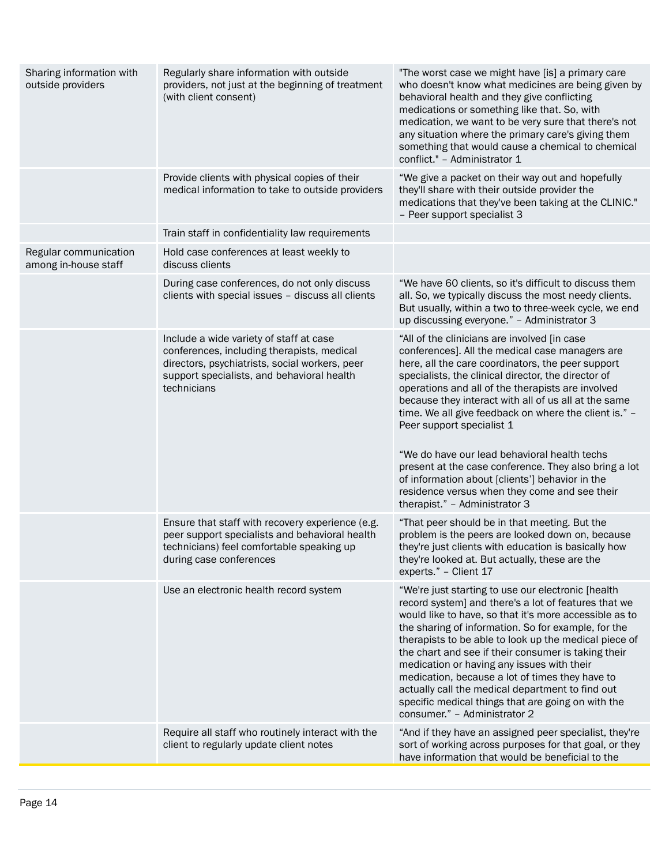| Sharing information with<br>outside providers | Regularly share information with outside<br>providers, not just at the beginning of treatment<br>(with client consent)                                                                               | "The worst case we might have [is] a primary care<br>who doesn't know what medicines are being given by<br>behavioral health and they give conflicting<br>medications or something like that. So, with<br>medication, we want to be very sure that there's not<br>any situation where the primary care's giving them<br>something that would cause a chemical to chemical<br>conflict." - Administrator 1                                                                                                                                                                                                                                                    |
|-----------------------------------------------|------------------------------------------------------------------------------------------------------------------------------------------------------------------------------------------------------|--------------------------------------------------------------------------------------------------------------------------------------------------------------------------------------------------------------------------------------------------------------------------------------------------------------------------------------------------------------------------------------------------------------------------------------------------------------------------------------------------------------------------------------------------------------------------------------------------------------------------------------------------------------|
|                                               | Provide clients with physical copies of their<br>medical information to take to outside providers                                                                                                    | "We give a packet on their way out and hopefully<br>they'll share with their outside provider the<br>medications that they've been taking at the CLINIC."<br>- Peer support specialist 3                                                                                                                                                                                                                                                                                                                                                                                                                                                                     |
|                                               | Train staff in confidentiality law requirements                                                                                                                                                      |                                                                                                                                                                                                                                                                                                                                                                                                                                                                                                                                                                                                                                                              |
| Regular communication<br>among in-house staff | Hold case conferences at least weekly to<br>discuss clients                                                                                                                                          |                                                                                                                                                                                                                                                                                                                                                                                                                                                                                                                                                                                                                                                              |
|                                               | During case conferences, do not only discuss<br>clients with special issues - discuss all clients                                                                                                    | "We have 60 clients, so it's difficult to discuss them<br>all. So, we typically discuss the most needy clients.<br>But usually, within a two to three-week cycle, we end<br>up discussing everyone." - Administrator 3                                                                                                                                                                                                                                                                                                                                                                                                                                       |
|                                               | Include a wide variety of staff at case<br>conferences, including therapists, medical<br>directors, psychiatrists, social workers, peer<br>support specialists, and behavioral health<br>technicians | "All of the clinicians are involved [in case<br>conferences]. All the medical case managers are<br>here, all the care coordinators, the peer support<br>specialists, the clinical director, the director of<br>operations and all of the therapists are involved<br>because they interact with all of us all at the same<br>time. We all give feedback on where the client is." -<br>Peer support specialist 1<br>"We do have our lead behavioral health techs<br>present at the case conference. They also bring a lot<br>of information about [clients'] behavior in the<br>residence versus when they come and see their<br>therapist." - Administrator 3 |
|                                               | Ensure that staff with recovery experience (e.g.<br>peer support specialists and behavioral health<br>technicians) feel comfortable speaking up<br>during case conferences                           | "That peer should be in that meeting. But the<br>problem is the peers are looked down on, because<br>they're just clients with education is basically how<br>they're looked at. But actually, these are the<br>experts." - Client 17                                                                                                                                                                                                                                                                                                                                                                                                                         |
|                                               | Use an electronic health record system                                                                                                                                                               | "We're just starting to use our electronic [health<br>record system] and there's a lot of features that we<br>would like to have, so that it's more accessible as to<br>the sharing of information. So for example, for the<br>therapists to be able to look up the medical piece of<br>the chart and see if their consumer is taking their<br>medication or having any issues with their<br>medication, because a lot of times they have to<br>actually call the medical department to find out<br>specific medical things that are going on with the<br>consumer." - Administrator 2                                                                       |
|                                               | Require all staff who routinely interact with the<br>client to regularly update client notes                                                                                                         | "And if they have an assigned peer specialist, they're<br>sort of working across purposes for that goal, or they<br>have information that would be beneficial to the                                                                                                                                                                                                                                                                                                                                                                                                                                                                                         |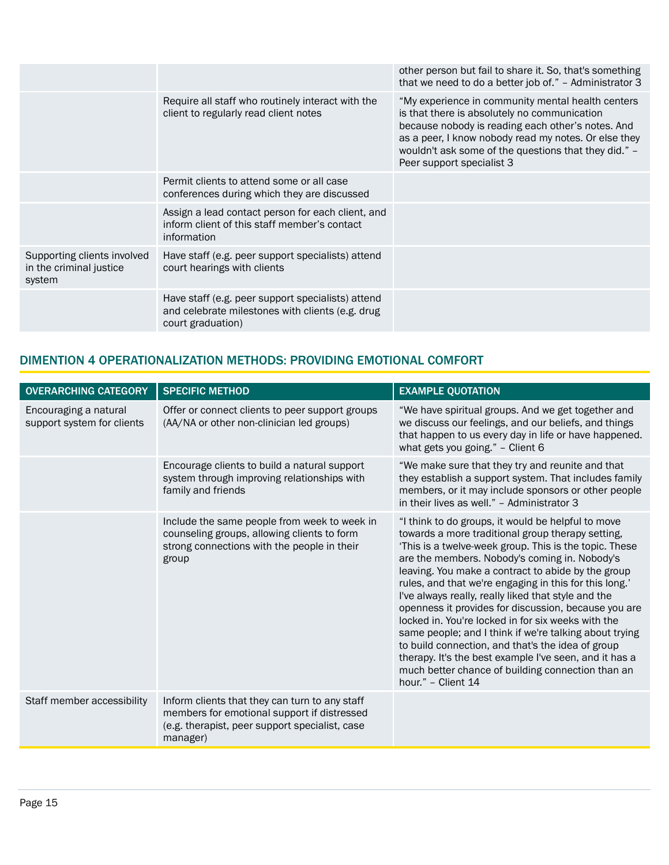|                                                                  |                                                                                                                            | other person but fail to share it. So, that's something<br>that we need to do a better job of." - Administrator 3                                                                                                                                                                                   |
|------------------------------------------------------------------|----------------------------------------------------------------------------------------------------------------------------|-----------------------------------------------------------------------------------------------------------------------------------------------------------------------------------------------------------------------------------------------------------------------------------------------------|
|                                                                  | Require all staff who routinely interact with the<br>client to regularly read client notes                                 | "My experience in community mental health centers<br>is that there is absolutely no communication<br>because nobody is reading each other's notes. And<br>as a peer, I know nobody read my notes. Or else they<br>wouldn't ask some of the questions that they did." -<br>Peer support specialist 3 |
|                                                                  | Permit clients to attend some or all case<br>conferences during which they are discussed                                   |                                                                                                                                                                                                                                                                                                     |
|                                                                  | Assign a lead contact person for each client, and<br>inform client of this staff member's contact<br>information           |                                                                                                                                                                                                                                                                                                     |
| Supporting clients involved<br>in the criminal justice<br>system | Have staff (e.g. peer support specialists) attend<br>court hearings with clients                                           |                                                                                                                                                                                                                                                                                                     |
|                                                                  | Have staff (e.g. peer support specialists) attend<br>and celebrate milestones with clients (e.g. drug<br>court graduation) |                                                                                                                                                                                                                                                                                                     |

### DIMENTION 4 OPERATIONALIZATION METHODS: PROVIDING EMOTIONAL COMFORT

| <b>OVERARCHING CATEGORY</b>                         | <b>SPECIFIC METHOD</b>                                                                                                                                      | <b>EXAMPLE QUOTATION</b>                                                                                                                                                                                                                                                                                                                                                                                                                                                                                                                                                                                                                                                                                                                                   |
|-----------------------------------------------------|-------------------------------------------------------------------------------------------------------------------------------------------------------------|------------------------------------------------------------------------------------------------------------------------------------------------------------------------------------------------------------------------------------------------------------------------------------------------------------------------------------------------------------------------------------------------------------------------------------------------------------------------------------------------------------------------------------------------------------------------------------------------------------------------------------------------------------------------------------------------------------------------------------------------------------|
| Encouraging a natural<br>support system for clients | Offer or connect clients to peer support groups<br>(AA/NA or other non-clinician led groups)                                                                | "We have spiritual groups. And we get together and<br>we discuss our feelings, and our beliefs, and things<br>that happen to us every day in life or have happened.<br>what gets you going." - Client 6                                                                                                                                                                                                                                                                                                                                                                                                                                                                                                                                                    |
|                                                     | Encourage clients to build a natural support<br>system through improving relationships with<br>family and friends                                           | "We make sure that they try and reunite and that<br>they establish a support system. That includes family<br>members, or it may include sponsors or other people<br>in their lives as well." - Administrator 3                                                                                                                                                                                                                                                                                                                                                                                                                                                                                                                                             |
|                                                     | Include the same people from week to week in<br>counseling groups, allowing clients to form<br>strong connections with the people in their<br>group         | "I think to do groups, it would be helpful to move<br>towards a more traditional group therapy setting,<br>This is a twelve-week group. This is the topic. These<br>are the members. Nobody's coming in. Nobody's<br>leaving. You make a contract to abide by the group<br>rules, and that we're engaging in this for this long."<br>I've always really, really liked that style and the<br>openness it provides for discussion, because you are<br>locked in. You're locked in for six weeks with the<br>same people; and I think if we're talking about trying<br>to build connection, and that's the idea of group<br>therapy. It's the best example I've seen, and it has a<br>much better chance of building connection than an<br>hour." - Client 14 |
| Staff member accessibility                          | Inform clients that they can turn to any staff<br>members for emotional support if distressed<br>(e.g. therapist, peer support specialist, case<br>manager) |                                                                                                                                                                                                                                                                                                                                                                                                                                                                                                                                                                                                                                                                                                                                                            |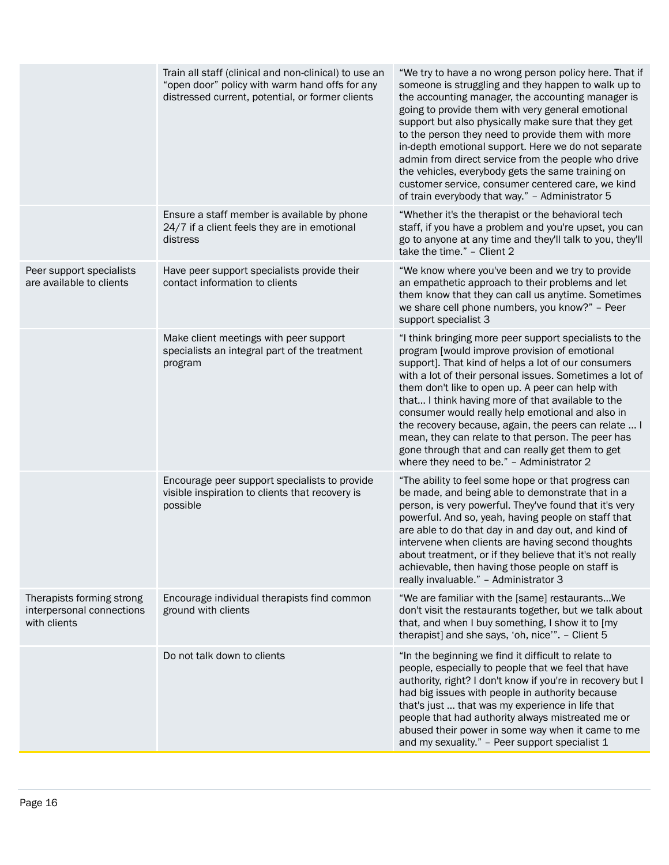|                                                                        | Train all staff (clinical and non-clinical) to use an<br>"open door" policy with warm hand offs for any<br>distressed current, potential, or former clients | "We try to have a no wrong person policy here. That if<br>someone is struggling and they happen to walk up to<br>the accounting manager, the accounting manager is<br>going to provide them with very general emotional<br>support but also physically make sure that they get<br>to the person they need to provide them with more<br>in-depth emotional support. Here we do not separate<br>admin from direct service from the people who drive<br>the vehicles, everybody gets the same training on<br>customer service, consumer centered care, we kind<br>of train everybody that way." - Administrator 5 |
|------------------------------------------------------------------------|-------------------------------------------------------------------------------------------------------------------------------------------------------------|----------------------------------------------------------------------------------------------------------------------------------------------------------------------------------------------------------------------------------------------------------------------------------------------------------------------------------------------------------------------------------------------------------------------------------------------------------------------------------------------------------------------------------------------------------------------------------------------------------------|
|                                                                        | Ensure a staff member is available by phone<br>24/7 if a client feels they are in emotional<br>distress                                                     | "Whether it's the therapist or the behavioral tech<br>staff, if you have a problem and you're upset, you can<br>go to anyone at any time and they'll talk to you, they'll<br>take the time." - Client 2                                                                                                                                                                                                                                                                                                                                                                                                        |
| Peer support specialists<br>are available to clients                   | Have peer support specialists provide their<br>contact information to clients                                                                               | "We know where you've been and we try to provide<br>an empathetic approach to their problems and let<br>them know that they can call us anytime. Sometimes<br>we share cell phone numbers, you know?" - Peer<br>support specialist 3                                                                                                                                                                                                                                                                                                                                                                           |
|                                                                        | Make client meetings with peer support<br>specialists an integral part of the treatment<br>program                                                          | "I think bringing more peer support specialists to the<br>program [would improve provision of emotional<br>support]. That kind of helps a lot of our consumers<br>with a lot of their personal issues. Sometimes a lot of<br>them don't like to open up. A peer can help with<br>that I think having more of that available to the<br>consumer would really help emotional and also in<br>the recovery because, again, the peers can relate  I<br>mean, they can relate to that person. The peer has<br>gone through that and can really get them to get<br>where they need to be." - Administrator 2          |
|                                                                        | Encourage peer support specialists to provide<br>visible inspiration to clients that recovery is<br>possible                                                | "The ability to feel some hope or that progress can<br>be made, and being able to demonstrate that in a<br>person, is very powerful. They've found that it's very<br>powerful. And so, yeah, having people on staff that<br>are able to do that day in and day out, and kind of<br>intervene when clients are having second thoughts<br>about treatment, or if they believe that it's not really<br>achievable, then having those people on staff is<br>really invaluable." - Administrator 3                                                                                                                  |
| Therapists forming strong<br>interpersonal connections<br>with clients | Encourage individual therapists find common<br>ground with clients                                                                                          | "We are familiar with the [same] restaurantsWe<br>don't visit the restaurants together, but we talk about<br>that, and when I buy something, I show it to [my<br>therapist] and she says, 'oh, nice'". - Client 5                                                                                                                                                                                                                                                                                                                                                                                              |
|                                                                        | Do not talk down to clients                                                                                                                                 | "In the beginning we find it difficult to relate to<br>people, especially to people that we feel that have<br>authority, right? I don't know if you're in recovery but I<br>had big issues with people in authority because<br>that's just  that was my experience in life that<br>people that had authority always mistreated me or<br>abused their power in some way when it came to me<br>and my sexuality." - Peer support specialist 1                                                                                                                                                                    |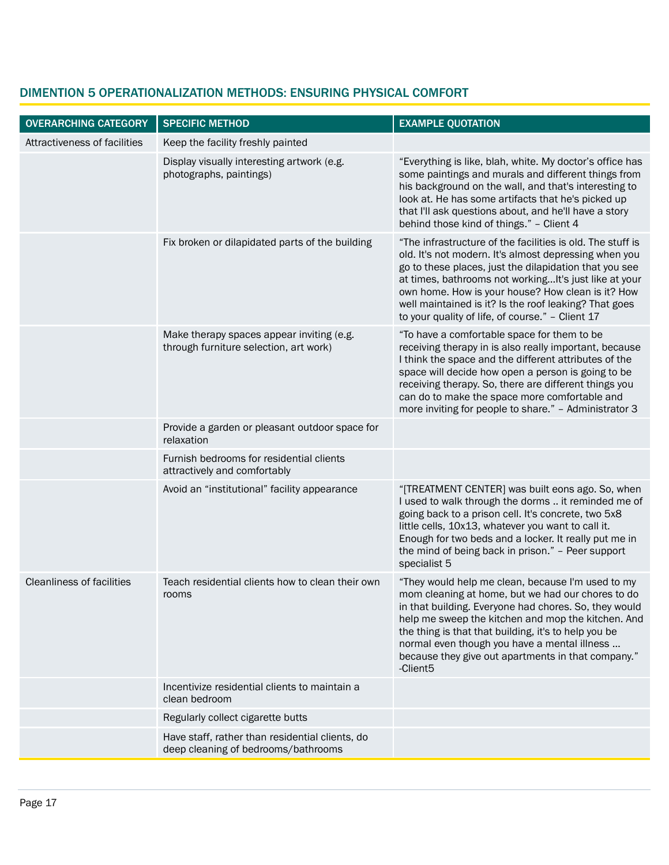| <b>OVERARCHING CATEGORY</b>      | <b>SPECIFIC METHOD</b>                                                                 | <b>EXAMPLE QUOTATION</b>                                                                                                                                                                                                                                                                                                                                                                                    |
|----------------------------------|----------------------------------------------------------------------------------------|-------------------------------------------------------------------------------------------------------------------------------------------------------------------------------------------------------------------------------------------------------------------------------------------------------------------------------------------------------------------------------------------------------------|
| Attractiveness of facilities     | Keep the facility freshly painted                                                      |                                                                                                                                                                                                                                                                                                                                                                                                             |
|                                  | Display visually interesting artwork (e.g.<br>photographs, paintings)                  | "Everything is like, blah, white. My doctor's office has<br>some paintings and murals and different things from<br>his background on the wall, and that's interesting to<br>look at. He has some artifacts that he's picked up<br>that I'll ask questions about, and he'll have a story<br>behind those kind of things." - Client 4                                                                         |
|                                  | Fix broken or dilapidated parts of the building                                        | "The infrastructure of the facilities is old. The stuff is<br>old. It's not modern. It's almost depressing when you<br>go to these places, just the dilapidation that you see<br>at times, bathrooms not working It's just like at your<br>own home. How is your house? How clean is it? How<br>well maintained is it? Is the roof leaking? That goes<br>to your quality of life, of course." - Client 17   |
|                                  | Make therapy spaces appear inviting (e.g.<br>through furniture selection, art work)    | "To have a comfortable space for them to be<br>receiving therapy in is also really important, because<br>I think the space and the different attributes of the<br>space will decide how open a person is going to be<br>receiving therapy. So, there are different things you<br>can do to make the space more comfortable and<br>more inviting for people to share." - Administrator 3                     |
|                                  | Provide a garden or pleasant outdoor space for<br>relaxation                           |                                                                                                                                                                                                                                                                                                                                                                                                             |
|                                  | Furnish bedrooms for residential clients<br>attractively and comfortably               |                                                                                                                                                                                                                                                                                                                                                                                                             |
|                                  | Avoid an "institutional" facility appearance                                           | "[TREATMENT CENTER] was built eons ago. So, when<br>I used to walk through the dorms  it reminded me of<br>going back to a prison cell. It's concrete, two 5x8<br>little cells, 10x13, whatever you want to call it.<br>Enough for two beds and a locker. It really put me in<br>the mind of being back in prison." - Peer support<br>specialist 5                                                          |
| <b>Cleanliness of facilities</b> | Teach residential clients how to clean their own<br>rooms                              | "They would help me clean, because I'm used to my<br>mom cleaning at home, but we had our chores to do<br>in that building. Everyone had chores. So, they would<br>help me sweep the kitchen and mop the kitchen. And<br>the thing is that that building, it's to help you be<br>normal even though you have a mental illness<br>because they give out apartments in that company."<br>-Client <sub>5</sub> |
|                                  | Incentivize residential clients to maintain a<br>clean bedroom                         |                                                                                                                                                                                                                                                                                                                                                                                                             |
|                                  | Regularly collect cigarette butts                                                      |                                                                                                                                                                                                                                                                                                                                                                                                             |
|                                  | Have staff, rather than residential clients, do<br>deep cleaning of bedrooms/bathrooms |                                                                                                                                                                                                                                                                                                                                                                                                             |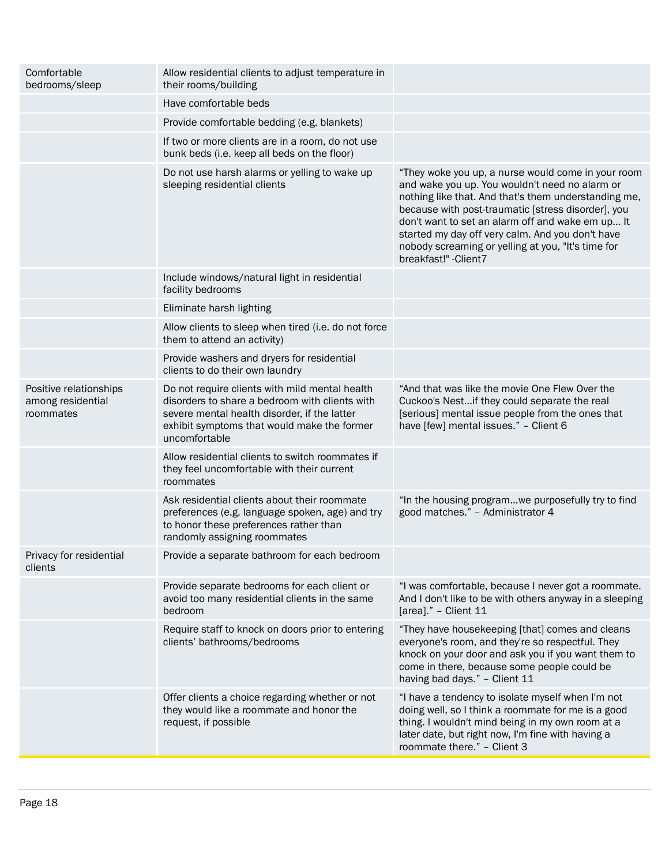| Comfortable<br>bedrooms/sleep                            | Allow residential clients to adjust temperature in<br>their rooms/building                                                                                                                                       |                                                                                                                                                                                                                                                                                                                                                                                                           |
|----------------------------------------------------------|------------------------------------------------------------------------------------------------------------------------------------------------------------------------------------------------------------------|-----------------------------------------------------------------------------------------------------------------------------------------------------------------------------------------------------------------------------------------------------------------------------------------------------------------------------------------------------------------------------------------------------------|
|                                                          | Have comfortable beds                                                                                                                                                                                            |                                                                                                                                                                                                                                                                                                                                                                                                           |
|                                                          | Provide comfortable bedding (e.g. blankets)                                                                                                                                                                      |                                                                                                                                                                                                                                                                                                                                                                                                           |
|                                                          | If two or more clients are in a room, do not use<br>bunk beds (i.e. keep all beds on the floor)                                                                                                                  |                                                                                                                                                                                                                                                                                                                                                                                                           |
|                                                          | Do not use harsh alarms or yelling to wake up<br>sleeping residential clients                                                                                                                                    | "They woke you up, a nurse would come in your room<br>and wake you up. You wouldn't need no alarm or<br>nothing like that. And that's them understanding me,<br>because with post-traumatic [stress disorder], you<br>don't want to set an alarm off and wake em up It<br>started my day off very calm. And you don't have<br>nobody screaming or yelling at you, "It's time for<br>breakfast!" - Client7 |
|                                                          | Include windows/natural light in residential<br>facility bedrooms                                                                                                                                                |                                                                                                                                                                                                                                                                                                                                                                                                           |
|                                                          | Eliminate harsh lighting                                                                                                                                                                                         |                                                                                                                                                                                                                                                                                                                                                                                                           |
|                                                          | Allow clients to sleep when tired (i.e. do not force<br>them to attend an activity)                                                                                                                              |                                                                                                                                                                                                                                                                                                                                                                                                           |
|                                                          | Provide washers and dryers for residential<br>clients to do their own laundry                                                                                                                                    |                                                                                                                                                                                                                                                                                                                                                                                                           |
| Positive relationships<br>among residential<br>roommates | Do not require clients with mild mental health<br>disorders to share a bedroom with clients with<br>severe mental health disorder, if the latter<br>exhibit symptoms that would make the former<br>uncomfortable | "And that was like the movie One Flew Over the<br>Cuckoo's Nestif they could separate the real<br>[serious] mental issue people from the ones that<br>have [few] mental issues." - Client 6                                                                                                                                                                                                               |
|                                                          | Allow residential clients to switch roommates if<br>they feel uncomfortable with their current<br>roommates                                                                                                      |                                                                                                                                                                                                                                                                                                                                                                                                           |
|                                                          | Ask residential clients about their roommate<br>preferences (e.g. language spoken, age) and try<br>to honor these preferences rather than<br>randomly assigning roommates                                        | "In the housing programwe purposefully try to find<br>good matches." - Administrator 4                                                                                                                                                                                                                                                                                                                    |
| Privacy for residential<br>clients                       | Provide a separate bathroom for each bedroom                                                                                                                                                                     |                                                                                                                                                                                                                                                                                                                                                                                                           |
|                                                          | Provide separate bedrooms for each client or<br>avoid too many residential clients in the same<br>bedroom                                                                                                        | "I was comfortable, because I never got a roommate.<br>And I don't like to be with others anyway in a sleeping<br>[area]." - Client 11                                                                                                                                                                                                                                                                    |
|                                                          | Require staff to knock on doors prior to entering<br>clients' bathrooms/bedrooms                                                                                                                                 | "They have housekeeping [that] comes and cleans<br>everyone's room, and they're so respectful. They<br>knock on your door and ask you if you want them to<br>come in there, because some people could be<br>having bad days." - Client 11                                                                                                                                                                 |
|                                                          | Offer clients a choice regarding whether or not<br>they would like a roommate and honor the<br>request, if possible                                                                                              | "I have a tendency to isolate myself when I'm not<br>doing well, so I think a roommate for me is a good<br>thing. I wouldn't mind being in my own room at a<br>later date, but right now, I'm fine with having a<br>roommate there." - Client 3                                                                                                                                                           |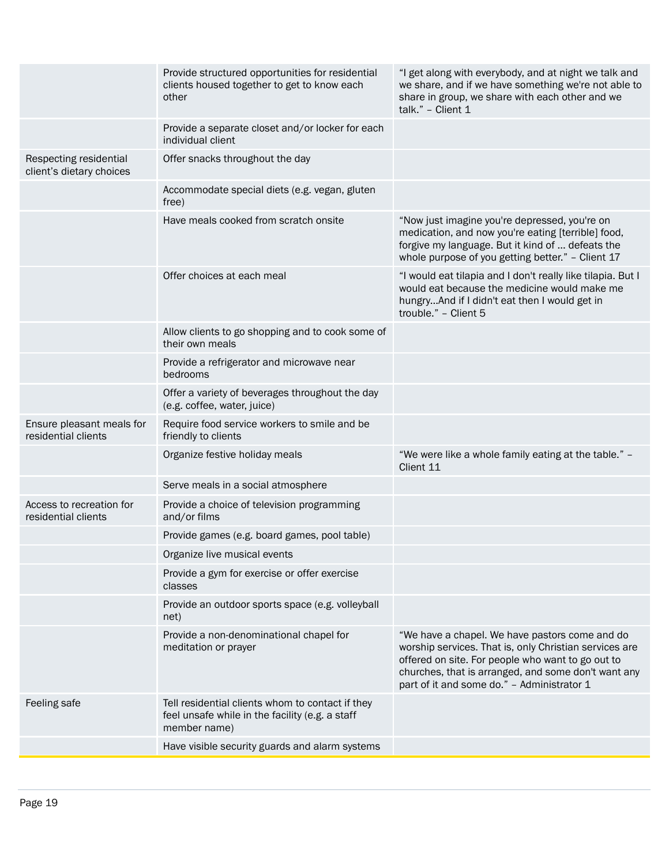|                                                    | Provide structured opportunities for residential<br>clients housed together to get to know each<br>other            | "I get along with everybody, and at night we talk and<br>we share, and if we have something we're not able to<br>share in group, we share with each other and we<br>talk." - Client 1                                                                              |
|----------------------------------------------------|---------------------------------------------------------------------------------------------------------------------|--------------------------------------------------------------------------------------------------------------------------------------------------------------------------------------------------------------------------------------------------------------------|
|                                                    | Provide a separate closet and/or locker for each<br>individual client                                               |                                                                                                                                                                                                                                                                    |
| Respecting residential<br>client's dietary choices | Offer snacks throughout the day                                                                                     |                                                                                                                                                                                                                                                                    |
|                                                    | Accommodate special diets (e.g. vegan, gluten<br>free)                                                              |                                                                                                                                                                                                                                                                    |
|                                                    | Have meals cooked from scratch onsite                                                                               | "Now just imagine you're depressed, you're on<br>medication, and now you're eating [terrible] food,<br>forgive my language. But it kind of  defeats the<br>whole purpose of you getting better." - Client 17                                                       |
|                                                    | Offer choices at each meal                                                                                          | "I would eat tilapia and I don't really like tilapia. But I<br>would eat because the medicine would make me<br>hungryAnd if I didn't eat then I would get in<br>trouble." - Client 5                                                                               |
|                                                    | Allow clients to go shopping and to cook some of<br>their own meals                                                 |                                                                                                                                                                                                                                                                    |
|                                                    | Provide a refrigerator and microwave near<br>bedrooms                                                               |                                                                                                                                                                                                                                                                    |
|                                                    | Offer a variety of beverages throughout the day<br>(e.g. coffee, water, juice)                                      |                                                                                                                                                                                                                                                                    |
| Ensure pleasant meals for<br>residential clients   | Require food service workers to smile and be<br>friendly to clients                                                 |                                                                                                                                                                                                                                                                    |
|                                                    | Organize festive holiday meals                                                                                      | "We were like a whole family eating at the table." -<br>Client 11                                                                                                                                                                                                  |
|                                                    | Serve meals in a social atmosphere                                                                                  |                                                                                                                                                                                                                                                                    |
| Access to recreation for<br>residential clients    | Provide a choice of television programming<br>and/or films                                                          |                                                                                                                                                                                                                                                                    |
|                                                    | Provide games (e.g. board games, pool table)                                                                        |                                                                                                                                                                                                                                                                    |
|                                                    | Organize live musical events                                                                                        |                                                                                                                                                                                                                                                                    |
|                                                    | Provide a gym for exercise or offer exercise<br>classes                                                             |                                                                                                                                                                                                                                                                    |
|                                                    | Provide an outdoor sports space (e.g. volleyball<br>net)                                                            |                                                                                                                                                                                                                                                                    |
|                                                    | Provide a non-denominational chapel for<br>meditation or prayer                                                     | "We have a chapel. We have pastors come and do<br>worship services. That is, only Christian services are<br>offered on site. For people who want to go out to<br>churches, that is arranged, and some don't want any<br>part of it and some do." - Administrator 1 |
| Feeling safe                                       | Tell residential clients whom to contact if they<br>feel unsafe while in the facility (e.g. a staff<br>member name) |                                                                                                                                                                                                                                                                    |
|                                                    | Have visible security guards and alarm systems                                                                      |                                                                                                                                                                                                                                                                    |
|                                                    |                                                                                                                     |                                                                                                                                                                                                                                                                    |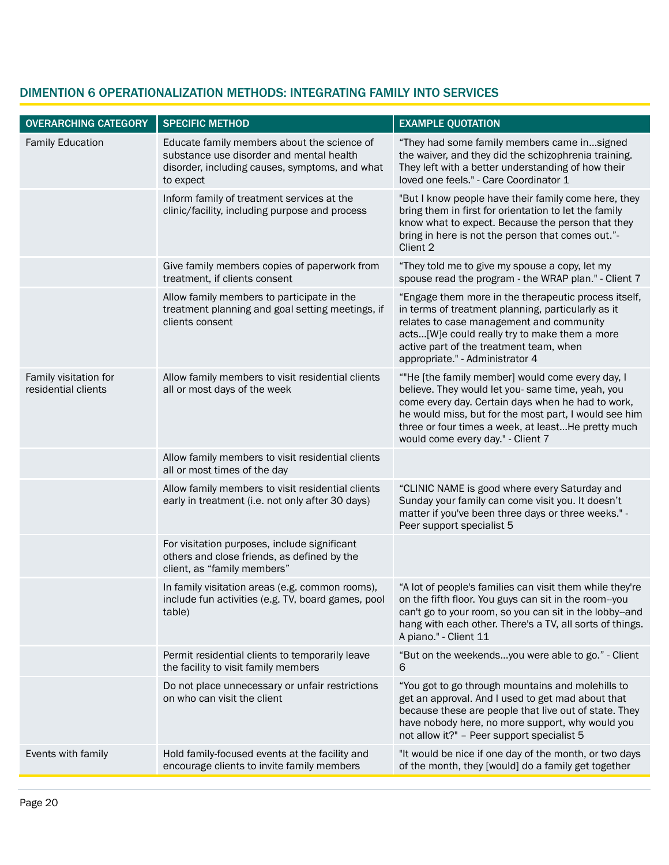| <b>OVERARCHING CATEGORY</b>                  | <b>SPECIFIC METHOD</b>                                                                                                                                 | <b>EXAMPLE QUOTATION</b>                                                                                                                                                                                                                                                                                       |
|----------------------------------------------|--------------------------------------------------------------------------------------------------------------------------------------------------------|----------------------------------------------------------------------------------------------------------------------------------------------------------------------------------------------------------------------------------------------------------------------------------------------------------------|
| <b>Family Education</b>                      | Educate family members about the science of<br>substance use disorder and mental health<br>disorder, including causes, symptoms, and what<br>to expect | "They had some family members came insigned<br>the waiver, and they did the schizophrenia training.<br>They left with a better understanding of how their<br>loved one feels." - Care Coordinator 1                                                                                                            |
|                                              | Inform family of treatment services at the<br>clinic/facility, including purpose and process                                                           | "But I know people have their family come here, they<br>bring them in first for orientation to let the family<br>know what to expect. Because the person that they<br>bring in here is not the person that comes out."-<br>Client 2                                                                            |
|                                              | Give family members copies of paperwork from<br>treatment, if clients consent                                                                          | "They told me to give my spouse a copy, let my<br>spouse read the program - the WRAP plan." - Client 7                                                                                                                                                                                                         |
|                                              | Allow family members to participate in the<br>treatment planning and goal setting meetings, if<br>clients consent                                      | "Engage them more in the therapeutic process itself,<br>in terms of treatment planning, particularly as it<br>relates to case management and community<br>acts[W]e could really try to make them a more<br>active part of the treatment team, when<br>appropriate." - Administrator 4                          |
| Family visitation for<br>residential clients | Allow family members to visit residential clients<br>all or most days of the week                                                                      | ""He [the family member] would come every day, I<br>believe. They would let you- same time, yeah, you<br>come every day. Certain days when he had to work,<br>he would miss, but for the most part, I would see him<br>three or four times a week, at leastHe pretty much<br>would come every day." - Client 7 |
|                                              | Allow family members to visit residential clients<br>all or most times of the day                                                                      |                                                                                                                                                                                                                                                                                                                |
|                                              | Allow family members to visit residential clients<br>early in treatment (i.e. not only after 30 days)                                                  | "CLINIC NAME is good where every Saturday and<br>Sunday your family can come visit you. It doesn't<br>matter if you've been three days or three weeks." -<br>Peer support specialist 5                                                                                                                         |
|                                              | For visitation purposes, include significant<br>others and close friends, as defined by the<br>client, as "family members"                             |                                                                                                                                                                                                                                                                                                                |
|                                              | In family visitation areas (e.g. common rooms),<br>include fun activities (e.g. TV, board games, pool<br>table)                                        | "A lot of people's families can visit them while they're<br>on the fifth floor. You guys can sit in the room--you<br>can't go to your room, so you can sit in the lobby--and<br>hang with each other. There's a TV, all sorts of things.<br>A piano." - Client 11                                              |
|                                              | Permit residential clients to temporarily leave<br>the facility to visit family members                                                                | "But on the weekendsyou were able to go." - Client<br>6                                                                                                                                                                                                                                                        |
|                                              | Do not place unnecessary or unfair restrictions<br>on who can visit the client                                                                         | "You got to go through mountains and molehills to<br>get an approval. And I used to get mad about that<br>because these are people that live out of state. They<br>have nobody here, no more support, why would you<br>not allow it?" - Peer support specialist 5                                              |
| Events with family                           | Hold family-focused events at the facility and<br>encourage clients to invite family members                                                           | "It would be nice if one day of the month, or two days<br>of the month, they [would] do a family get together                                                                                                                                                                                                  |

# DIMENTION 6 OPERATIONALIZATION METHODS: INTEGRATING FAMILY INTO SERVICES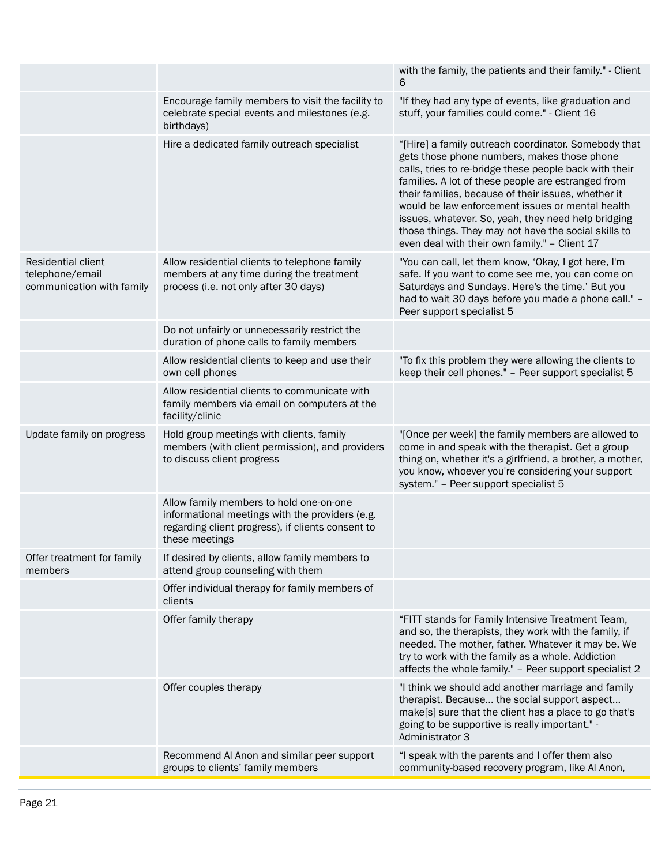|                                                                    |                                                                                                                                                                   | with the family, the patients and their family." - Client<br>6                                                                                                                                                                                                                                                                                                                                                                                                                                 |
|--------------------------------------------------------------------|-------------------------------------------------------------------------------------------------------------------------------------------------------------------|------------------------------------------------------------------------------------------------------------------------------------------------------------------------------------------------------------------------------------------------------------------------------------------------------------------------------------------------------------------------------------------------------------------------------------------------------------------------------------------------|
|                                                                    | Encourage family members to visit the facility to<br>celebrate special events and milestones (e.g.<br>birthdays)                                                  | "If they had any type of events, like graduation and<br>stuff, your families could come." - Client 16                                                                                                                                                                                                                                                                                                                                                                                          |
|                                                                    | Hire a dedicated family outreach specialist                                                                                                                       | "[Hire] a family outreach coordinator. Somebody that<br>gets those phone numbers, makes those phone<br>calls, tries to re-bridge these people back with their<br>families. A lot of these people are estranged from<br>their families, because of their issues, whether it<br>would be law enforcement issues or mental health<br>issues, whatever. So, yeah, they need help bridging<br>those things. They may not have the social skills to<br>even deal with their own family." - Client 17 |
| Residential client<br>telephone/email<br>communication with family | Allow residential clients to telephone family<br>members at any time during the treatment<br>process (i.e. not only after 30 days)                                | "You can call, let them know, 'Okay, I got here, I'm<br>safe. If you want to come see me, you can come on<br>Saturdays and Sundays. Here's the time.' But you<br>had to wait 30 days before you made a phone call." -<br>Peer support specialist 5                                                                                                                                                                                                                                             |
|                                                                    | Do not unfairly or unnecessarily restrict the<br>duration of phone calls to family members                                                                        |                                                                                                                                                                                                                                                                                                                                                                                                                                                                                                |
|                                                                    | Allow residential clients to keep and use their<br>own cell phones                                                                                                | "To fix this problem they were allowing the clients to<br>keep their cell phones." - Peer support specialist 5                                                                                                                                                                                                                                                                                                                                                                                 |
|                                                                    | Allow residential clients to communicate with<br>family members via email on computers at the<br>facility/clinic                                                  |                                                                                                                                                                                                                                                                                                                                                                                                                                                                                                |
| Update family on progress                                          | Hold group meetings with clients, family<br>members (with client permission), and providers<br>to discuss client progress                                         | "[Once per week] the family members are allowed to<br>come in and speak with the therapist. Get a group<br>thing on, whether it's a girlfriend, a brother, a mother,<br>you know, whoever you're considering your support<br>system." - Peer support specialist 5                                                                                                                                                                                                                              |
|                                                                    | Allow family members to hold one-on-one<br>informational meetings with the providers (e.g.<br>regarding client progress), if clients consent to<br>these meetings |                                                                                                                                                                                                                                                                                                                                                                                                                                                                                                |
| Offer treatment for family<br>members                              | If desired by clients, allow family members to<br>attend group counseling with them                                                                               |                                                                                                                                                                                                                                                                                                                                                                                                                                                                                                |
|                                                                    | Offer individual therapy for family members of<br>clients                                                                                                         |                                                                                                                                                                                                                                                                                                                                                                                                                                                                                                |
|                                                                    | Offer family therapy                                                                                                                                              | "FITT stands for Family Intensive Treatment Team,<br>and so, the therapists, they work with the family, if<br>needed. The mother, father. Whatever it may be. We<br>try to work with the family as a whole. Addiction<br>affects the whole family." - Peer support specialist 2                                                                                                                                                                                                                |
|                                                                    | Offer couples therapy                                                                                                                                             | "I think we should add another marriage and family<br>therapist. Because the social support aspect<br>make[s] sure that the client has a place to go that's<br>going to be supportive is really important." -<br>Administrator 3                                                                                                                                                                                                                                                               |
|                                                                    | Recommend Al Anon and similar peer support<br>groups to clients' family members                                                                                   | "I speak with the parents and I offer them also<br>community-based recovery program, like Al Anon,                                                                                                                                                                                                                                                                                                                                                                                             |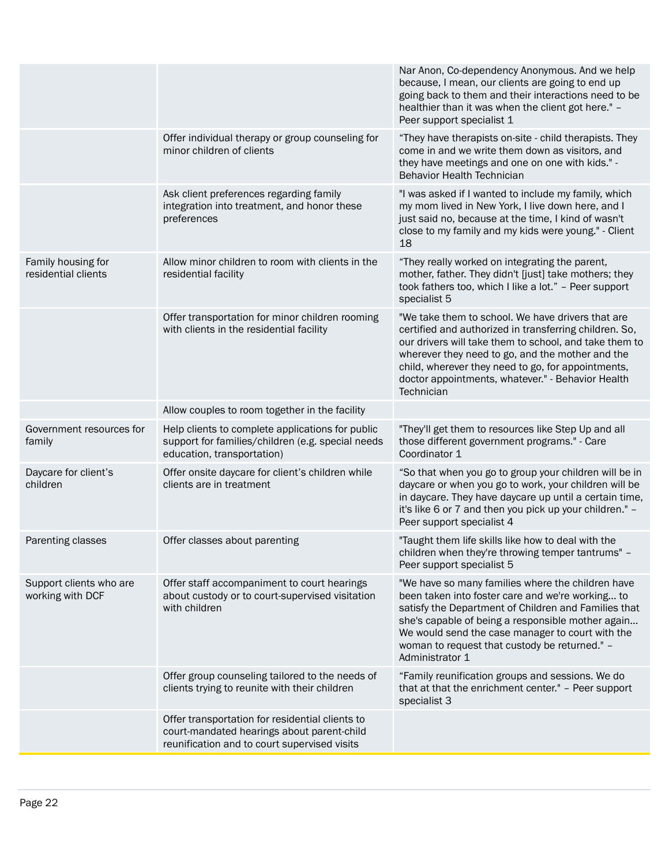|                                             |                                                                                                                                               | Nar Anon, Co-dependency Anonymous. And we help<br>because, I mean, our clients are going to end up<br>going back to them and their interactions need to be<br>healthier than it was when the client got here." -<br>Peer support specialist 1                                                                                                      |
|---------------------------------------------|-----------------------------------------------------------------------------------------------------------------------------------------------|----------------------------------------------------------------------------------------------------------------------------------------------------------------------------------------------------------------------------------------------------------------------------------------------------------------------------------------------------|
|                                             | Offer individual therapy or group counseling for<br>minor children of clients                                                                 | "They have therapists on-site - child therapists. They<br>come in and we write them down as visitors, and<br>they have meetings and one on one with kids." -<br><b>Behavior Health Technician</b>                                                                                                                                                  |
|                                             | Ask client preferences regarding family<br>integration into treatment, and honor these<br>preferences                                         | "I was asked if I wanted to include my family, which<br>my mom lived in New York, I live down here, and I<br>just said no, because at the time, I kind of wasn't<br>close to my family and my kids were young." - Client<br>18                                                                                                                     |
| Family housing for<br>residential clients   | Allow minor children to room with clients in the<br>residential facility                                                                      | "They really worked on integrating the parent,<br>mother, father. They didn't [just] take mothers; they<br>took fathers too, which I like a lot." - Peer support<br>specialist 5                                                                                                                                                                   |
|                                             | Offer transportation for minor children rooming<br>with clients in the residential facility                                                   | "We take them to school. We have drivers that are<br>certified and authorized in transferring children. So,<br>our drivers will take them to school, and take them to<br>wherever they need to go, and the mother and the<br>child, wherever they need to go, for appointments,<br>doctor appointments, whatever." - Behavior Health<br>Technician |
|                                             | Allow couples to room together in the facility                                                                                                |                                                                                                                                                                                                                                                                                                                                                    |
| Government resources for<br>family          | Help clients to complete applications for public<br>support for families/children (e.g. special needs<br>education, transportation)           | "They'll get them to resources like Step Up and all<br>those different government programs." - Care<br>Coordinator 1                                                                                                                                                                                                                               |
| Daycare for client's<br>children            | Offer onsite daycare for client's children while<br>clients are in treatment                                                                  | "So that when you go to group your children will be in<br>daycare or when you go to work, your children will be<br>in daycare. They have daycare up until a certain time,<br>it's like 6 or 7 and then you pick up your children." -<br>Peer support specialist 4                                                                                  |
| Parenting classes                           | Offer classes about parenting                                                                                                                 | "Taught them life skills like how to deal with the<br>children when they're throwing temper tantrums" -<br>Peer support specialist 5                                                                                                                                                                                                               |
| Support clients who are<br>working with DCF | Offer staff accompaniment to court hearings<br>about custody or to court-supervised visitation<br>with children                               | "We have so many families where the children have<br>been taken into foster care and we're working to<br>satisfy the Department of Children and Families that<br>she's capable of being a responsible mother again<br>We would send the case manager to court with the<br>woman to request that custody be returned." -<br>Administrator 1         |
|                                             | Offer group counseling tailored to the needs of<br>clients trying to reunite with their children                                              | "Family reunification groups and sessions. We do<br>that at that the enrichment center." - Peer support<br>specialist 3                                                                                                                                                                                                                            |
|                                             | Offer transportation for residential clients to<br>court-mandated hearings about parent-child<br>reunification and to court supervised visits |                                                                                                                                                                                                                                                                                                                                                    |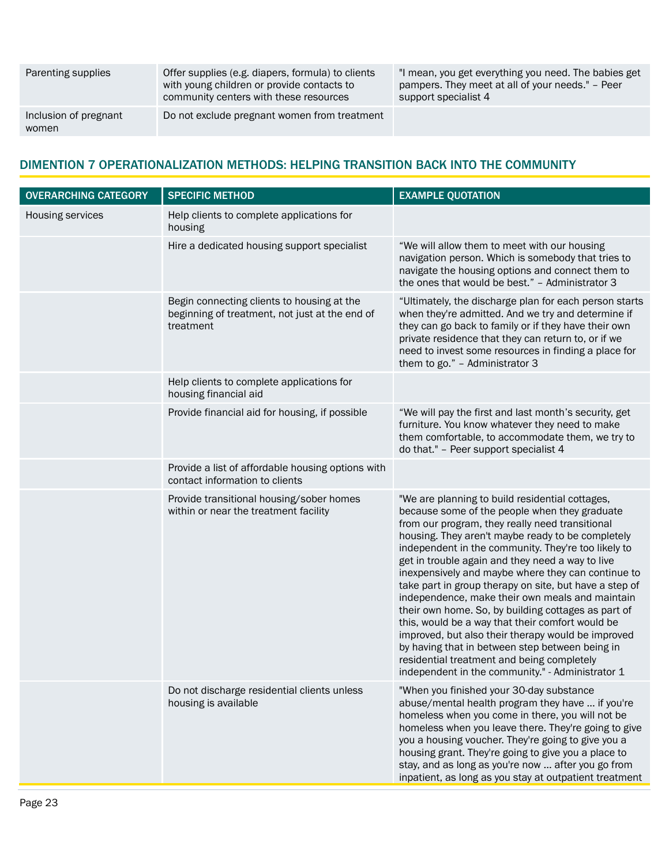| Parenting supplies             | Offer supplies (e.g. diapers, formula) to clients<br>with young children or provide contacts to<br>community centers with these resources | "I mean, you get everything you need. The babies get<br>pampers. They meet at all of your needs." - Peer<br>support specialist 4 |
|--------------------------------|-------------------------------------------------------------------------------------------------------------------------------------------|----------------------------------------------------------------------------------------------------------------------------------|
| Inclusion of pregnant<br>women | Do not exclude pregnant women from treatment                                                                                              |                                                                                                                                  |

# DIMENTION 7 OPERATIONALIZATION METHODS: HELPING TRANSITION BACK INTO THE COMMUNITY

| <b>OVERARCHING CATEGORY</b> | <b>SPECIFIC METHOD</b>                                                                                    | <b>EXAMPLE QUOTATION</b>                                                                                                                                                                                                                                                                                                                                                                                                                                                                                                                                                                                                                                                                                                                                                                                     |
|-----------------------------|-----------------------------------------------------------------------------------------------------------|--------------------------------------------------------------------------------------------------------------------------------------------------------------------------------------------------------------------------------------------------------------------------------------------------------------------------------------------------------------------------------------------------------------------------------------------------------------------------------------------------------------------------------------------------------------------------------------------------------------------------------------------------------------------------------------------------------------------------------------------------------------------------------------------------------------|
| Housing services            | Help clients to complete applications for<br>housing                                                      |                                                                                                                                                                                                                                                                                                                                                                                                                                                                                                                                                                                                                                                                                                                                                                                                              |
|                             | Hire a dedicated housing support specialist                                                               | "We will allow them to meet with our housing<br>navigation person. Which is somebody that tries to<br>navigate the housing options and connect them to<br>the ones that would be best." - Administrator 3                                                                                                                                                                                                                                                                                                                                                                                                                                                                                                                                                                                                    |
|                             | Begin connecting clients to housing at the<br>beginning of treatment, not just at the end of<br>treatment | "Ultimately, the discharge plan for each person starts<br>when they're admitted. And we try and determine if<br>they can go back to family or if they have their own<br>private residence that they can return to, or if we<br>need to invest some resources in finding a place for<br>them to go." - Administrator 3                                                                                                                                                                                                                                                                                                                                                                                                                                                                                        |
|                             | Help clients to complete applications for<br>housing financial aid                                        |                                                                                                                                                                                                                                                                                                                                                                                                                                                                                                                                                                                                                                                                                                                                                                                                              |
|                             | Provide financial aid for housing, if possible                                                            | "We will pay the first and last month's security, get<br>furniture. You know whatever they need to make<br>them comfortable, to accommodate them, we try to<br>do that." - Peer support specialist 4                                                                                                                                                                                                                                                                                                                                                                                                                                                                                                                                                                                                         |
|                             | Provide a list of affordable housing options with<br>contact information to clients                       |                                                                                                                                                                                                                                                                                                                                                                                                                                                                                                                                                                                                                                                                                                                                                                                                              |
|                             | Provide transitional housing/sober homes<br>within or near the treatment facility                         | "We are planning to build residential cottages,<br>because some of the people when they graduate<br>from our program, they really need transitional<br>housing. They aren't maybe ready to be completely<br>independent in the community. They're too likely to<br>get in trouble again and they need a way to live<br>inexpensively and maybe where they can continue to<br>take part in group therapy on site, but have a step of<br>independence, make their own meals and maintain<br>their own home. So, by building cottages as part of<br>this, would be a way that their comfort would be<br>improved, but also their therapy would be improved<br>by having that in between step between being in<br>residential treatment and being completely<br>independent in the community." - Administrator 1 |
|                             | Do not discharge residential clients unless<br>housing is available                                       | "When you finished your 30-day substance<br>abuse/mental health program they have  if you're<br>homeless when you come in there, you will not be<br>homeless when you leave there. They're going to give<br>you a housing voucher. They're going to give you a<br>housing grant. They're going to give you a place to<br>stay, and as long as you're now  after you go from<br>inpatient, as long as you stay at outpatient treatment                                                                                                                                                                                                                                                                                                                                                                        |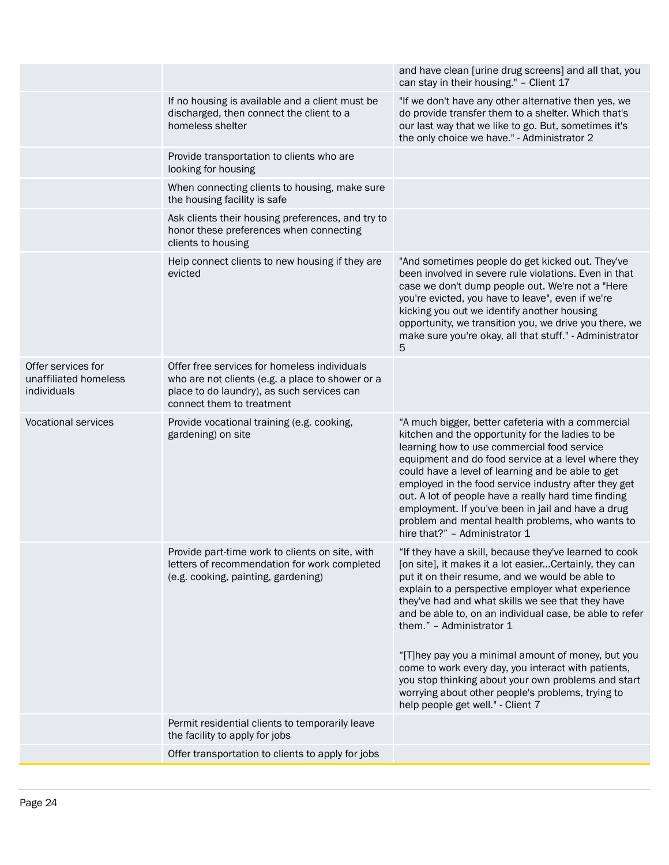| and have clean [urine drug screens] and all that, you<br>can stay in their housing." - Client 17<br>If no housing is available and a client must be<br>"If we don't have any other alternative then yes, we<br>do provide transfer them to a shelter. Which that's<br>discharged, then connect the client to a<br>homeless shelter<br>our last way that we like to go. But, sometimes it's<br>the only choice we have." - Administrator 2<br>Provide transportation to clients who are<br>looking for housing<br>When connecting clients to housing, make sure<br>the housing facility is safe<br>Ask clients their housing preferences, and try to<br>honor these preferences when connecting<br>clients to housing<br>Help connect clients to new housing if they are<br>"And sometimes people do get kicked out. They've<br>evicted<br>been involved in severe rule violations. Even in that<br>case we don't dump people out. We're not a "Here<br>you're evicted, you have to leave", even if we're<br>kicking you out we identify another housing<br>opportunity, we transition you, we drive you there, we<br>make sure you're okay, all that stuff." - Administrator<br>5<br>Offer services for<br>Offer free services for homeless individuals<br>unaffiliated homeless<br>who are not clients (e.g. a place to shower or a<br>individuals<br>place to do laundry), as such services can<br>connect them to treatment<br><b>Vocational services</b><br>Provide vocational training (e.g. cooking,<br>"A much bigger, better cafeteria with a commercial<br>gardening) on site<br>kitchen and the opportunity for the ladies to be<br>learning how to use commercial food service<br>equipment and do food service at a level where they<br>could have a level of learning and be able to get<br>employed in the food service industry after they get<br>out. A lot of people have a really hard time finding<br>employment. If you've been in jail and have a drug<br>problem and mental health problems, who wants to<br>hire that?" - Administrator 1<br>Provide part-time work to clients on site, with<br>"If they have a skill, because they've learned to cook<br>letters of recommendation for work completed<br>[on site], it makes it a lot easierCertainly, they can<br>(e.g. cooking, painting, gardening)<br>put it on their resume, and we would be able to<br>explain to a perspective employer what experience<br>they've had and what skills we see that they have<br>and be able to, on an individual case, be able to refer<br>them." - Administrator 1<br>"[T]hey pay you a minimal amount of money, but you<br>come to work every day, you interact with patients,<br>you stop thinking about your own problems and start<br>worrying about other people's problems, trying to<br>help people get well." - Client 7<br>Permit residential clients to temporarily leave<br>the facility to apply for jobs<br>Offer transportation to clients to apply for jobs |  |  |
|--------------------------------------------------------------------------------------------------------------------------------------------------------------------------------------------------------------------------------------------------------------------------------------------------------------------------------------------------------------------------------------------------------------------------------------------------------------------------------------------------------------------------------------------------------------------------------------------------------------------------------------------------------------------------------------------------------------------------------------------------------------------------------------------------------------------------------------------------------------------------------------------------------------------------------------------------------------------------------------------------------------------------------------------------------------------------------------------------------------------------------------------------------------------------------------------------------------------------------------------------------------------------------------------------------------------------------------------------------------------------------------------------------------------------------------------------------------------------------------------------------------------------------------------------------------------------------------------------------------------------------------------------------------------------------------------------------------------------------------------------------------------------------------------------------------------------------------------------------------------------------------------------------------------------------------------------------------------------------------------------------------------------------------------------------------------------------------------------------------------------------------------------------------------------------------------------------------------------------------------------------------------------------------------------------------------------------------------------------------------------------------------------------------------------------------------------------------------------------------------------------------------------------------------------------------------------------------------------------------------------------------------------------------------------------------------------------------------------------------------------------------------------------------------------------------------------------------------------------------------------------------------------------------------------------------------------------------------------------------------|--|--|
|                                                                                                                                                                                                                                                                                                                                                                                                                                                                                                                                                                                                                                                                                                                                                                                                                                                                                                                                                                                                                                                                                                                                                                                                                                                                                                                                                                                                                                                                                                                                                                                                                                                                                                                                                                                                                                                                                                                                                                                                                                                                                                                                                                                                                                                                                                                                                                                                                                                                                                                                                                                                                                                                                                                                                                                                                                                                                                                                                                                            |  |  |
|                                                                                                                                                                                                                                                                                                                                                                                                                                                                                                                                                                                                                                                                                                                                                                                                                                                                                                                                                                                                                                                                                                                                                                                                                                                                                                                                                                                                                                                                                                                                                                                                                                                                                                                                                                                                                                                                                                                                                                                                                                                                                                                                                                                                                                                                                                                                                                                                                                                                                                                                                                                                                                                                                                                                                                                                                                                                                                                                                                                            |  |  |
|                                                                                                                                                                                                                                                                                                                                                                                                                                                                                                                                                                                                                                                                                                                                                                                                                                                                                                                                                                                                                                                                                                                                                                                                                                                                                                                                                                                                                                                                                                                                                                                                                                                                                                                                                                                                                                                                                                                                                                                                                                                                                                                                                                                                                                                                                                                                                                                                                                                                                                                                                                                                                                                                                                                                                                                                                                                                                                                                                                                            |  |  |
|                                                                                                                                                                                                                                                                                                                                                                                                                                                                                                                                                                                                                                                                                                                                                                                                                                                                                                                                                                                                                                                                                                                                                                                                                                                                                                                                                                                                                                                                                                                                                                                                                                                                                                                                                                                                                                                                                                                                                                                                                                                                                                                                                                                                                                                                                                                                                                                                                                                                                                                                                                                                                                                                                                                                                                                                                                                                                                                                                                                            |  |  |
|                                                                                                                                                                                                                                                                                                                                                                                                                                                                                                                                                                                                                                                                                                                                                                                                                                                                                                                                                                                                                                                                                                                                                                                                                                                                                                                                                                                                                                                                                                                                                                                                                                                                                                                                                                                                                                                                                                                                                                                                                                                                                                                                                                                                                                                                                                                                                                                                                                                                                                                                                                                                                                                                                                                                                                                                                                                                                                                                                                                            |  |  |
|                                                                                                                                                                                                                                                                                                                                                                                                                                                                                                                                                                                                                                                                                                                                                                                                                                                                                                                                                                                                                                                                                                                                                                                                                                                                                                                                                                                                                                                                                                                                                                                                                                                                                                                                                                                                                                                                                                                                                                                                                                                                                                                                                                                                                                                                                                                                                                                                                                                                                                                                                                                                                                                                                                                                                                                                                                                                                                                                                                                            |  |  |
|                                                                                                                                                                                                                                                                                                                                                                                                                                                                                                                                                                                                                                                                                                                                                                                                                                                                                                                                                                                                                                                                                                                                                                                                                                                                                                                                                                                                                                                                                                                                                                                                                                                                                                                                                                                                                                                                                                                                                                                                                                                                                                                                                                                                                                                                                                                                                                                                                                                                                                                                                                                                                                                                                                                                                                                                                                                                                                                                                                                            |  |  |
|                                                                                                                                                                                                                                                                                                                                                                                                                                                                                                                                                                                                                                                                                                                                                                                                                                                                                                                                                                                                                                                                                                                                                                                                                                                                                                                                                                                                                                                                                                                                                                                                                                                                                                                                                                                                                                                                                                                                                                                                                                                                                                                                                                                                                                                                                                                                                                                                                                                                                                                                                                                                                                                                                                                                                                                                                                                                                                                                                                                            |  |  |
|                                                                                                                                                                                                                                                                                                                                                                                                                                                                                                                                                                                                                                                                                                                                                                                                                                                                                                                                                                                                                                                                                                                                                                                                                                                                                                                                                                                                                                                                                                                                                                                                                                                                                                                                                                                                                                                                                                                                                                                                                                                                                                                                                                                                                                                                                                                                                                                                                                                                                                                                                                                                                                                                                                                                                                                                                                                                                                                                                                                            |  |  |
|                                                                                                                                                                                                                                                                                                                                                                                                                                                                                                                                                                                                                                                                                                                                                                                                                                                                                                                                                                                                                                                                                                                                                                                                                                                                                                                                                                                                                                                                                                                                                                                                                                                                                                                                                                                                                                                                                                                                                                                                                                                                                                                                                                                                                                                                                                                                                                                                                                                                                                                                                                                                                                                                                                                                                                                                                                                                                                                                                                                            |  |  |
|                                                                                                                                                                                                                                                                                                                                                                                                                                                                                                                                                                                                                                                                                                                                                                                                                                                                                                                                                                                                                                                                                                                                                                                                                                                                                                                                                                                                                                                                                                                                                                                                                                                                                                                                                                                                                                                                                                                                                                                                                                                                                                                                                                                                                                                                                                                                                                                                                                                                                                                                                                                                                                                                                                                                                                                                                                                                                                                                                                                            |  |  |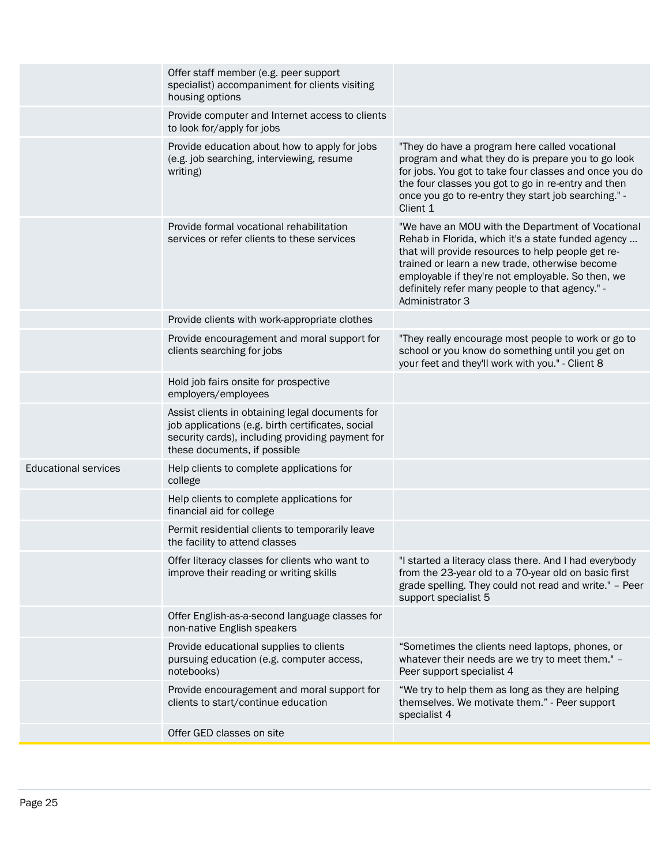|                             | Offer GED classes on site                                                                                                                                                                |                                                                                                                                                                                                                                                                                                                                            |
|-----------------------------|------------------------------------------------------------------------------------------------------------------------------------------------------------------------------------------|--------------------------------------------------------------------------------------------------------------------------------------------------------------------------------------------------------------------------------------------------------------------------------------------------------------------------------------------|
|                             | Provide encouragement and moral support for<br>clients to start/continue education                                                                                                       | "We try to help them as long as they are helping<br>themselves. We motivate them." - Peer support<br>specialist 4                                                                                                                                                                                                                          |
|                             | Provide educational supplies to clients<br>pursuing education (e.g. computer access,<br>notebooks)                                                                                       | "Sometimes the clients need laptops, phones, or<br>whatever their needs are we try to meet them." -<br>Peer support specialist 4                                                                                                                                                                                                           |
|                             | Offer English-as-a-second language classes for<br>non-native English speakers                                                                                                            |                                                                                                                                                                                                                                                                                                                                            |
|                             | Offer literacy classes for clients who want to<br>improve their reading or writing skills                                                                                                | "I started a literacy class there. And I had everybody<br>from the 23-year old to a 70-year old on basic first<br>grade spelling. They could not read and write." - Peer<br>support specialist 5                                                                                                                                           |
|                             | Permit residential clients to temporarily leave<br>the facility to attend classes                                                                                                        |                                                                                                                                                                                                                                                                                                                                            |
|                             | Help clients to complete applications for<br>financial aid for college                                                                                                                   |                                                                                                                                                                                                                                                                                                                                            |
| <b>Educational services</b> | Help clients to complete applications for<br>college                                                                                                                                     |                                                                                                                                                                                                                                                                                                                                            |
|                             | Assist clients in obtaining legal documents for<br>job applications (e.g. birth certificates, social<br>security cards), including providing payment for<br>these documents, if possible |                                                                                                                                                                                                                                                                                                                                            |
|                             | Hold job fairs onsite for prospective<br>employers/employees                                                                                                                             |                                                                                                                                                                                                                                                                                                                                            |
|                             | Provide encouragement and moral support for<br>clients searching for jobs                                                                                                                | "They really encourage most people to work or go to<br>school or you know do something until you get on<br>your feet and they'll work with you." - Client 8                                                                                                                                                                                |
|                             | Provide clients with work-appropriate clothes                                                                                                                                            |                                                                                                                                                                                                                                                                                                                                            |
|                             | Provide formal vocational rehabilitation<br>services or refer clients to these services                                                                                                  | "We have an MOU with the Department of Vocational<br>Rehab in Florida, which it's a state funded agency<br>that will provide resources to help people get re-<br>trained or learn a new trade, otherwise become<br>employable if they're not employable. So then, we<br>definitely refer many people to that agency." -<br>Administrator 3 |
|                             | Provide education about how to apply for jobs<br>(e.g. job searching, interviewing, resume<br>writing)                                                                                   | "They do have a program here called vocational<br>program and what they do is prepare you to go look<br>for jobs. You got to take four classes and once you do<br>the four classes you got to go in re-entry and then<br>once you go to re-entry they start job searching." -<br>Client 1                                                  |
|                             | Provide computer and Internet access to clients<br>to look for/apply for jobs                                                                                                            |                                                                                                                                                                                                                                                                                                                                            |
|                             | Offer staff member (e.g. peer support<br>specialist) accompaniment for clients visiting<br>housing options                                                                               |                                                                                                                                                                                                                                                                                                                                            |
|                             |                                                                                                                                                                                          |                                                                                                                                                                                                                                                                                                                                            |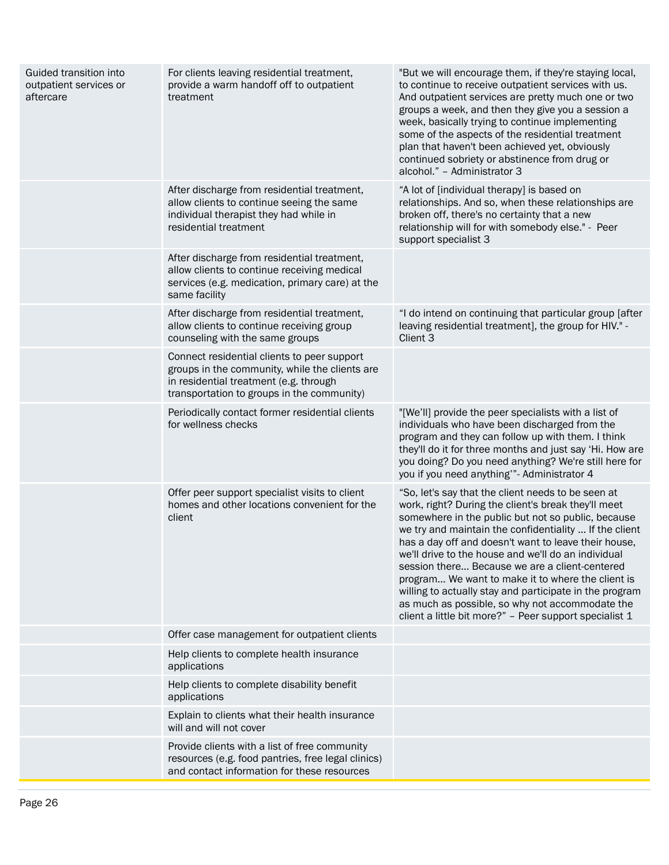| Guided transition into<br>outpatient services or<br>aftercare | For clients leaving residential treatment,<br>provide a warm handoff off to outpatient<br>treatment                                                                                   | "But we will encourage them, if they're staying local,<br>to continue to receive outpatient services with us.<br>And outpatient services are pretty much one or two<br>groups a week, and then they give you a session a<br>week, basically trying to continue implementing<br>some of the aspects of the residential treatment<br>plan that haven't been achieved yet, obviously<br>continued sobriety or abstinence from drug or<br>alcohol." - Administrator 3                                                                                                                                                       |
|---------------------------------------------------------------|---------------------------------------------------------------------------------------------------------------------------------------------------------------------------------------|-------------------------------------------------------------------------------------------------------------------------------------------------------------------------------------------------------------------------------------------------------------------------------------------------------------------------------------------------------------------------------------------------------------------------------------------------------------------------------------------------------------------------------------------------------------------------------------------------------------------------|
|                                                               | After discharge from residential treatment,<br>allow clients to continue seeing the same<br>individual therapist they had while in<br>residential treatment                           | "A lot of [individual therapy] is based on<br>relationships. And so, when these relationships are<br>broken off, there's no certainty that a new<br>relationship will for with somebody else." - Peer<br>support specialist 3                                                                                                                                                                                                                                                                                                                                                                                           |
|                                                               | After discharge from residential treatment,<br>allow clients to continue receiving medical<br>services (e.g. medication, primary care) at the<br>same facility                        |                                                                                                                                                                                                                                                                                                                                                                                                                                                                                                                                                                                                                         |
|                                                               | After discharge from residential treatment,<br>allow clients to continue receiving group<br>counseling with the same groups                                                           | "I do intend on continuing that particular group [after<br>leaving residential treatment], the group for HIV." -<br>Client 3                                                                                                                                                                                                                                                                                                                                                                                                                                                                                            |
|                                                               | Connect residential clients to peer support<br>groups in the community, while the clients are<br>in residential treatment (e.g. through<br>transportation to groups in the community) |                                                                                                                                                                                                                                                                                                                                                                                                                                                                                                                                                                                                                         |
|                                                               | Periodically contact former residential clients<br>for wellness checks                                                                                                                | "[We'll] provide the peer specialists with a list of<br>individuals who have been discharged from the<br>program and they can follow up with them. I think<br>they'll do it for three months and just say 'Hi. How are<br>you doing? Do you need anything? We're still here for<br>you if you need anything" - Administrator 4                                                                                                                                                                                                                                                                                          |
|                                                               | Offer peer support specialist visits to client<br>homes and other locations convenient for the<br>client                                                                              | "So, let's say that the client needs to be seen at<br>work, right? During the client's break they'll meet<br>somewhere in the public but not so public, because<br>we try and maintain the confidentiality  If the client<br>has a day off and doesn't want to leave their house,<br>we'll drive to the house and we'll do an individual<br>session there Because we are a client-centered<br>program We want to make it to where the client is<br>willing to actually stay and participate in the program<br>as much as possible, so why not accommodate the<br>client a little bit more?" - Peer support specialist 1 |
|                                                               | Offer case management for outpatient clients                                                                                                                                          |                                                                                                                                                                                                                                                                                                                                                                                                                                                                                                                                                                                                                         |
|                                                               | Help clients to complete health insurance<br>applications                                                                                                                             |                                                                                                                                                                                                                                                                                                                                                                                                                                                                                                                                                                                                                         |
|                                                               | Help clients to complete disability benefit<br>applications                                                                                                                           |                                                                                                                                                                                                                                                                                                                                                                                                                                                                                                                                                                                                                         |
|                                                               | Explain to clients what their health insurance<br>will and will not cover                                                                                                             |                                                                                                                                                                                                                                                                                                                                                                                                                                                                                                                                                                                                                         |
|                                                               | Provide clients with a list of free community<br>resources (e.g. food pantries, free legal clinics)<br>and contact information for these resources                                    |                                                                                                                                                                                                                                                                                                                                                                                                                                                                                                                                                                                                                         |